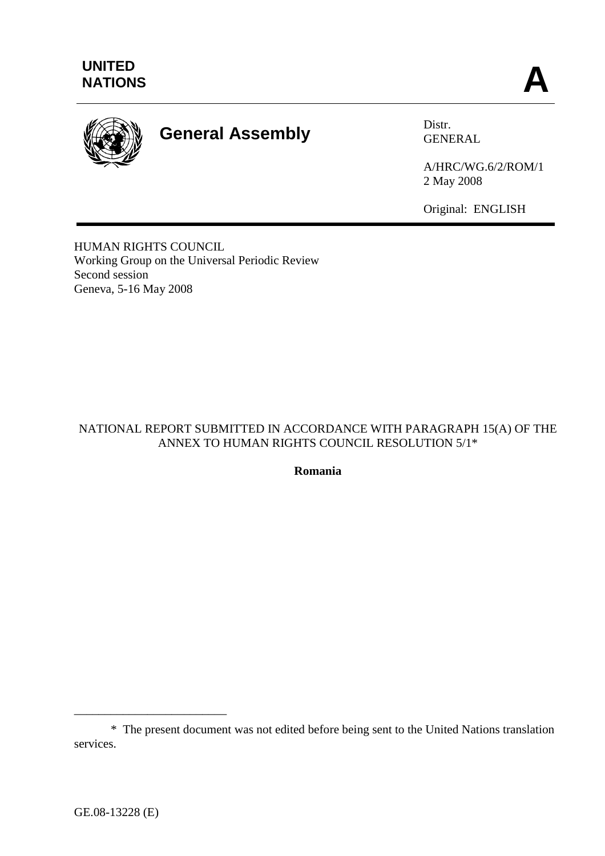

# **General Assembly** Distr.

GENERAL

A/HRC/WG.6/2/ROM/1 2 May 2008

Original: ENGLISH

HUMAN RIGHTS COUNCIL Working Group on the Universal Periodic Review Second session Geneva, 5-16 May 2008

# NATIONAL REPORT SUBMITTED IN ACCORDANCE WITH PARAGRAPH 15(A) OF THE ANNEX TO HUMAN RIGHTS COUNCIL RESOLUTION 5/1\*

**Romania** 

\_\_\_\_\_\_\_\_\_\_\_\_\_\_\_\_\_\_\_\_\_\_\_\_\_

 <sup>\*</sup> The present document was not edited before being sent to the United Nations translation services.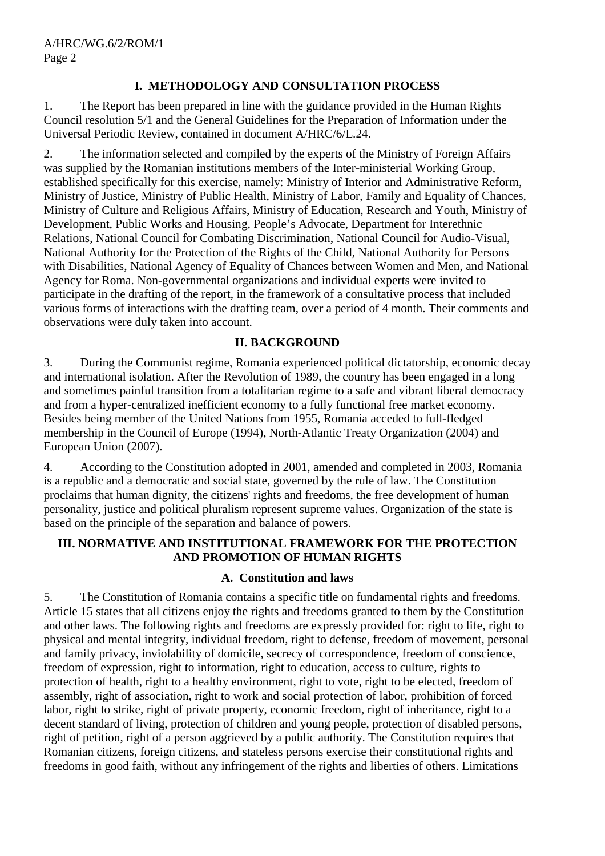# **I. METHODOLOGY AND CONSULTATION PROCESS**

1. The Report has been prepared in line with the guidance provided in the Human Rights Council resolution 5/1 and the General Guidelines for the Preparation of Information under the Universal Periodic Review, contained in document A/HRC/6/L.24.

2. The information selected and compiled by the experts of the Ministry of Foreign Affairs was supplied by the Romanian institutions members of the Inter-ministerial Working Group, established specifically for this exercise, namely: Ministry of Interior and Administrative Reform, Ministry of Justice, Ministry of Public Health, Ministry of Labor, Family and Equality of Chances, Ministry of Culture and Religious Affairs, Ministry of Education, Research and Youth, Ministry of Development, Public Works and Housing, People's Advocate, Department for Interethnic Relations, National Council for Combating Discrimination, National Council for Audio-Visual, National Authority for the Protection of the Rights of the Child, National Authority for Persons with Disabilities, National Agency of Equality of Chances between Women and Men, and National Agency for Roma. Non-governmental organizations and individual experts were invited to participate in the drafting of the report, in the framework of a consultative process that included various forms of interactions with the drafting team, over a period of 4 month. Their comments and observations were duly taken into account.

#### **II. BACKGROUND**

3. During the Communist regime, Romania experienced political dictatorship, economic decay and international isolation. After the Revolution of 1989, the country has been engaged in a long and sometimes painful transition from a totalitarian regime to a safe and vibrant liberal democracy and from a hyper-centralized inefficient economy to a fully functional free market economy. Besides being member of the United Nations from 1955, Romania acceded to full-fledged membership in the Council of Europe (1994), North-Atlantic Treaty Organization (2004) and European Union (2007).

4. According to the Constitution adopted in 2001, amended and completed in 2003, Romania is a republic and a democratic and social state, governed by the rule of law. The Constitution proclaims that human dignity, the citizens' rights and freedoms, the free development of human personality, justice and political pluralism represent supreme values. Organization of the state is based on the principle of the separation and balance of powers.

# **III. NORMATIVE AND INSTITUTIONAL FRAMEWORK FOR THE PROTECTION AND PROMOTION OF HUMAN RIGHTS**

# **A. Constitution and laws**

5. The Constitution of Romania contains a specific title on fundamental rights and freedoms. Article 15 states that all citizens enjoy the rights and freedoms granted to them by the Constitution and other laws. The following rights and freedoms are expressly provided for: right to life, right to physical and mental integrity, individual freedom, right to defense, freedom of movement, personal and family privacy, inviolability of domicile, secrecy of correspondence, freedom of conscience, freedom of expression, right to information, right to education, access to culture, rights to protection of health, right to a healthy environment, right to vote, right to be elected, freedom of assembly, right of association, right to work and social protection of labor, prohibition of forced labor, right to strike, right of private property, economic freedom, right of inheritance, right to a decent standard of living, protection of children and young people, protection of disabled persons, right of petition, right of a person aggrieved by a public authority. The Constitution requires that Romanian citizens, foreign citizens, and stateless persons exercise their constitutional rights and freedoms in good faith, without any infringement of the rights and liberties of others. Limitations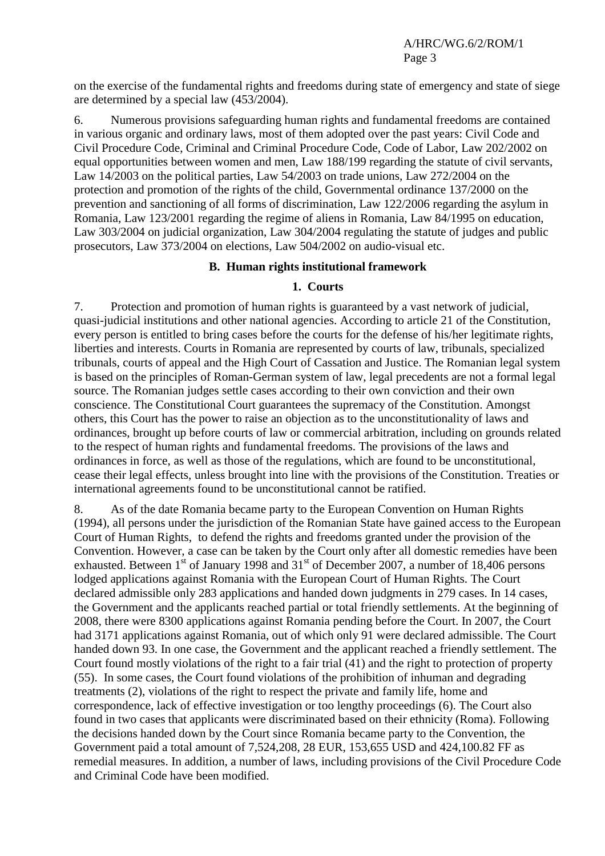on the exercise of the fundamental rights and freedoms during state of emergency and state of siege are determined by a special law (453/2004).

6. Numerous provisions safeguarding human rights and fundamental freedoms are contained in various organic and ordinary laws, most of them adopted over the past years: Civil Code and Civil Procedure Code, Criminal and Criminal Procedure Code, Code of Labor, Law 202/2002 on equal opportunities between women and men, Law 188/199 regarding the statute of civil servants, Law 14/2003 on the political parties, Law 54/2003 on trade unions, Law 272/2004 on the protection and promotion of the rights of the child, Governmental ordinance 137/2000 on the prevention and sanctioning of all forms of discrimination, Law 122/2006 regarding the asylum in Romania, Law 123/2001 regarding the regime of aliens in Romania, Law 84/1995 on education, Law 303/2004 on judicial organization, Law 304/2004 regulating the statute of judges and public prosecutors, Law 373/2004 on elections, Law 504/2002 on audio-visual etc.

#### **B. Human rights institutional framework**

#### **1. Courts**

7. Protection and promotion of human rights is guaranteed by a vast network of judicial, quasi-judicial institutions and other national agencies. According to article 21 of the Constitution, every person is entitled to bring cases before the courts for the defense of his/her legitimate rights, liberties and interests. Courts in Romania are represented by courts of law, tribunals, specialized tribunals, courts of appeal and the High Court of Cassation and Justice. The Romanian legal system is based on the principles of Roman-German system of law, legal precedents are not a formal legal source. The Romanian judges settle cases according to their own conviction and their own conscience. The Constitutional Court guarantees the supremacy of the Constitution. Amongst others, this Court has the power to raise an objection as to the unconstitutionality of laws and ordinances, brought up before courts of law or commercial arbitration, including on grounds related to the respect of human rights and fundamental freedoms. The provisions of the laws and ordinances in force, as well as those of the regulations, which are found to be unconstitutional, cease their legal effects, unless brought into line with the provisions of the Constitution. Treaties or international agreements found to be unconstitutional cannot be ratified.

8. As of the date Romania became party to the European Convention on Human Rights (1994), all persons under the jurisdiction of the Romanian State have gained access to the European Court of Human Rights, to defend the rights and freedoms granted under the provision of the Convention. However, a case can be taken by the Court only after all domestic remedies have been exhausted. Between  $1<sup>st</sup>$  of January 1998 and  $31<sup>st</sup>$  of December 2007, a number of 18,406 persons lodged applications against Romania with the European Court of Human Rights. The Court declared admissible only 283 applications and handed down judgments in 279 cases. In 14 cases, the Government and the applicants reached partial or total friendly settlements. At the beginning of 2008, there were 8300 applications against Romania pending before the Court. In 2007, the Court had 3171 applications against Romania, out of which only 91 were declared admissible. The Court handed down 93. In one case, the Government and the applicant reached a friendly settlement. The Court found mostly violations of the right to a fair trial (41) and the right to protection of property (55). In some cases, the Court found violations of the prohibition of inhuman and degrading treatments (2), violations of the right to respect the private and family life, home and correspondence, lack of effective investigation or too lengthy proceedings (6). The Court also found in two cases that applicants were discriminated based on their ethnicity (Roma). Following the decisions handed down by the Court since Romania became party to the Convention, the Government paid a total amount of 7,524,208, 28 EUR, 153,655 USD and 424,100.82 FF as remedial measures. In addition, a number of laws, including provisions of the Civil Procedure Code and Criminal Code have been modified.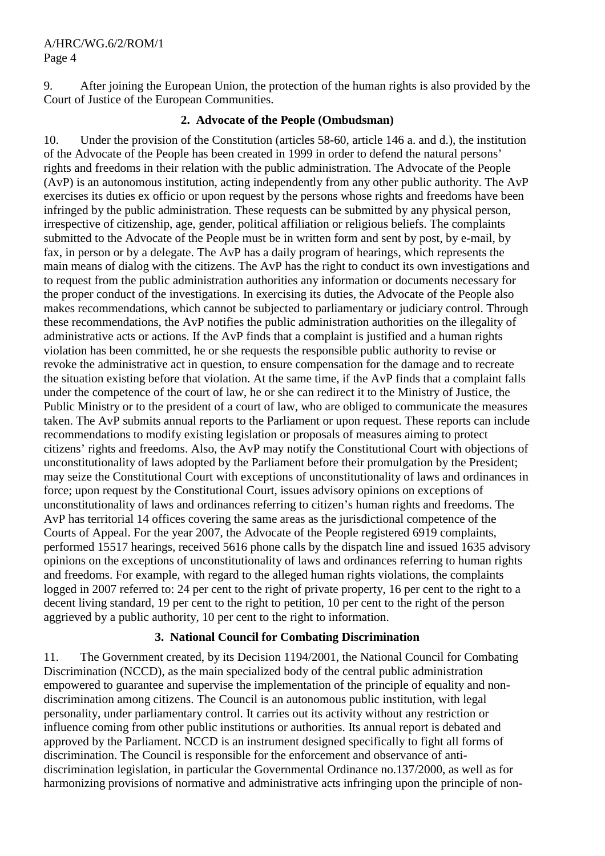9. After joining the European Union, the protection of the human rights is also provided by the Court of Justice of the European Communities.

#### **2. Advocate of the People (Ombudsman)**

10. Under the provision of the Constitution (articles 58-60, article 146 a. and d.), the institution of the Advocate of the People has been created in 1999 in order to defend the natural persons' rights and freedoms in their relation with the public administration. The Advocate of the People (AvP) is an autonomous institution, acting independently from any other public authority. The AvP exercises its duties ex officio or upon request by the persons whose rights and freedoms have been infringed by the public administration. These requests can be submitted by any physical person, irrespective of citizenship, age, gender, political affiliation or religious beliefs. The complaints submitted to the Advocate of the People must be in written form and sent by post, by e-mail, by fax, in person or by a delegate. The AvP has a daily program of hearings, which represents the main means of dialog with the citizens. The AvP has the right to conduct its own investigations and to request from the public administration authorities any information or documents necessary for the proper conduct of the investigations. In exercising its duties, the Advocate of the People also makes recommendations, which cannot be subjected to parliamentary or judiciary control. Through these recommendations, the AvP notifies the public administration authorities on the illegality of administrative acts or actions. If the AvP finds that a complaint is justified and a human rights violation has been committed, he or she requests the responsible public authority to revise or revoke the administrative act in question, to ensure compensation for the damage and to recreate the situation existing before that violation. At the same time, if the AvP finds that a complaint falls under the competence of the court of law, he or she can redirect it to the Ministry of Justice, the Public Ministry or to the president of a court of law, who are obliged to communicate the measures taken. The AvP submits annual reports to the Parliament or upon request. These reports can include recommendations to modify existing legislation or proposals of measures aiming to protect citizens' rights and freedoms. Also, the AvP may notify the Constitutional Court with objections of unconstitutionality of laws adopted by the Parliament before their promulgation by the President; may seize the Constitutional Court with exceptions of unconstitutionality of laws and ordinances in force; upon request by the Constitutional Court, issues advisory opinions on exceptions of unconstitutionality of laws and ordinances referring to citizen's human rights and freedoms. The AvP has territorial 14 offices covering the same areas as the jurisdictional competence of the Courts of Appeal. For the year 2007, the Advocate of the People registered 6919 complaints, performed 15517 hearings, received 5616 phone calls by the dispatch line and issued 1635 advisory opinions on the exceptions of unconstitutionality of laws and ordinances referring to human rights and freedoms. For example, with regard to the alleged human rights violations, the complaints logged in 2007 referred to: 24 per cent to the right of private property, 16 per cent to the right to a decent living standard, 19 per cent to the right to petition, 10 per cent to the right of the person aggrieved by a public authority, 10 per cent to the right to information.

#### **3. National Council for Combating Discrimination**

11. The Government created, by its Decision 1194/2001, the National Council for Combating Discrimination (NCCD), as the main specialized body of the central public administration empowered to guarantee and supervise the implementation of the principle of equality and nondiscrimination among citizens. The Council is an autonomous public institution, with legal personality, under parliamentary control. It carries out its activity without any restriction or influence coming from other public institutions or authorities. Its annual report is debated and approved by the Parliament. NCCD is an instrument designed specifically to fight all forms of discrimination. The Council is responsible for the enforcement and observance of antidiscrimination legislation, in particular the Governmental Ordinance no.137/2000, as well as for harmonizing provisions of normative and administrative acts infringing upon the principle of non-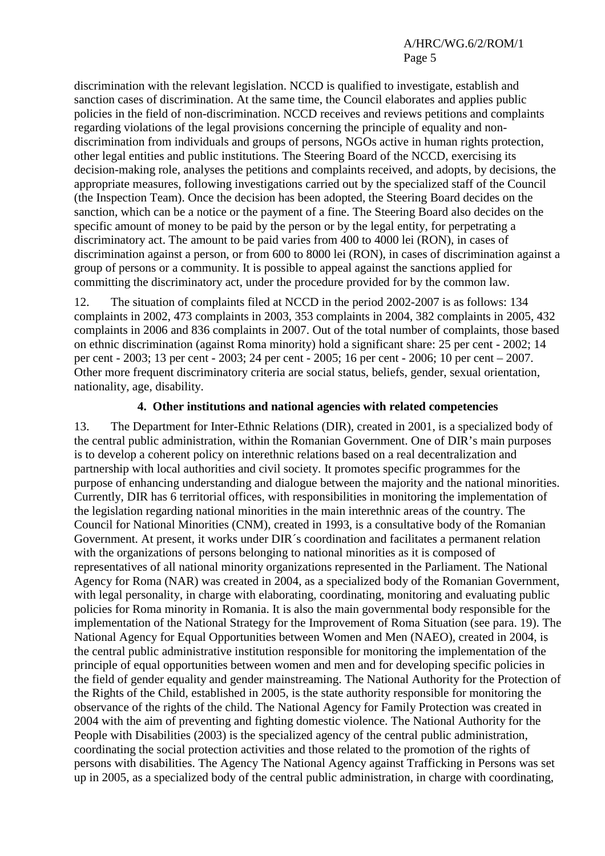discrimination with the relevant legislation. NCCD is qualified to investigate, establish and sanction cases of discrimination. At the same time, the Council elaborates and applies public policies in the field of non-discrimination. NCCD receives and reviews petitions and complaints regarding violations of the legal provisions concerning the principle of equality and nondiscrimination from individuals and groups of persons, NGOs active in human rights protection, other legal entities and public institutions. The Steering Board of the NCCD, exercising its decision-making role, analyses the petitions and complaints received, and adopts, by decisions, the appropriate measures, following investigations carried out by the specialized staff of the Council (the Inspection Team). Once the decision has been adopted, the Steering Board decides on the sanction, which can be a notice or the payment of a fine. The Steering Board also decides on the specific amount of money to be paid by the person or by the legal entity, for perpetrating a discriminatory act. The amount to be paid varies from 400 to 4000 lei (RON), in cases of discrimination against a person, or from 600 to 8000 lei (RON), in cases of discrimination against a group of persons or a community. It is possible to appeal against the sanctions applied for committing the discriminatory act, under the procedure provided for by the common law.

12. The situation of complaints filed at NCCD in the period 2002-2007 is as follows: 134 complaints in 2002, 473 complaints in 2003, 353 complaints in 2004, 382 complaints in 2005, 432 complaints in 2006 and 836 complaints in 2007. Out of the total number of complaints, those based on ethnic discrimination (against Roma minority) hold a significant share: 25 per cent - 2002; 14 per cent - 2003; 13 per cent - 2003; 24 per cent - 2005; 16 per cent - 2006; 10 per cent – 2007. Other more frequent discriminatory criteria are social status, beliefs, gender, sexual orientation, nationality, age, disability.

#### **4. Other institutions and national agencies with related competencies**

13. The Department for Inter-Ethnic Relations (DIR), created in 2001, is a specialized body of the central public administration, within the Romanian Government. One of DIR's main purposes is to develop a coherent policy on interethnic relations based on a real decentralization and partnership with local authorities and civil society. It promotes specific programmes for the purpose of enhancing understanding and dialogue between the majority and the national minorities. Currently, DIR has 6 territorial offices, with responsibilities in monitoring the implementation of the legislation regarding national minorities in the main interethnic areas of the country. The Council for National Minorities (CNM), created in 1993, is a consultative body of the Romanian Government. At present, it works under DIR´s coordination and facilitates a permanent relation with the organizations of persons belonging to national minorities as it is composed of representatives of all national minority organizations represented in the Parliament. The National Agency for Roma (NAR) was created in 2004, as a specialized body of the Romanian Government, with legal personality, in charge with elaborating, coordinating, monitoring and evaluating public policies for Roma minority in Romania. It is also the main governmental body responsible for the implementation of the National Strategy for the Improvement of Roma Situation (see para. 19). The National Agency for Equal Opportunities between Women and Men (NAEO), created in 2004, is the central public administrative institution responsible for monitoring the implementation of the principle of equal opportunities between women and men and for developing specific policies in the field of gender equality and gender mainstreaming. The National Authority for the Protection of the Rights of the Child, established in 2005, is the state authority responsible for monitoring the observance of the rights of the child. The National Agency for Family Protection was created in 2004 with the aim of preventing and fighting domestic violence. The National Authority for the People with Disabilities (2003) is the specialized agency of the central public administration, coordinating the social protection activities and those related to the promotion of the rights of persons with disabilities. The Agency The National Agency against Trafficking in Persons was set up in 2005, as a specialized body of the central public administration, in charge with coordinating,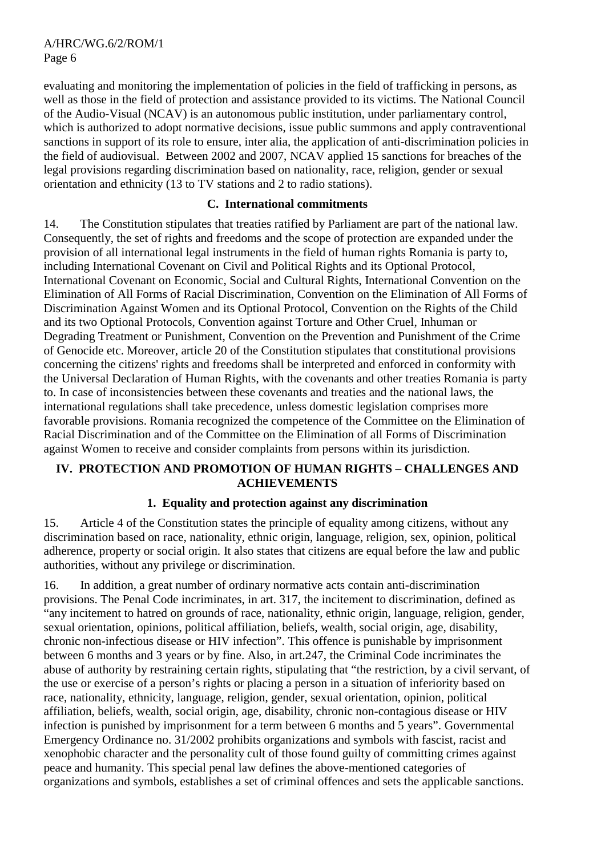evaluating and monitoring the implementation of policies in the field of trafficking in persons, as well as those in the field of protection and assistance provided to its victims. The National Council of the Audio-Visual (NCAV) is an autonomous public institution, under parliamentary control, which is authorized to adopt normative decisions, issue public summons and apply contraventional sanctions in support of its role to ensure, inter alia, the application of anti-discrimination policies in the field of audiovisual. Between 2002 and 2007, NCAV applied 15 sanctions for breaches of the legal provisions regarding discrimination based on nationality, race, religion, gender or sexual orientation and ethnicity (13 to TV stations and 2 to radio stations).

#### **C. International commitments**

14. The Constitution stipulates that treaties ratified by Parliament are part of the national law. Consequently, the set of rights and freedoms and the scope of protection are expanded under the provision of all international legal instruments in the field of human rights Romania is party to, including International Covenant on Civil and Political Rights and its Optional Protocol, International Covenant on Economic, Social and Cultural Rights, International Convention on the Elimination of All Forms of Racial Discrimination, Convention on the Elimination of All Forms of Discrimination Against Women and its Optional Protocol, Convention on the Rights of the Child and its two Optional Protocols, Convention against Torture and Other Cruel, Inhuman or Degrading Treatment or Punishment, Convention on the Prevention and Punishment of the Crime of Genocide etc. Moreover, article 20 of the Constitution stipulates that constitutional provisions concerning the citizens' rights and freedoms shall be interpreted and enforced in conformity with the Universal Declaration of Human Rights, with the covenants and other treaties Romania is party to. In case of inconsistencies between these covenants and treaties and the national laws, the international regulations shall take precedence, unless domestic legislation comprises more favorable provisions. Romania recognized the competence of the Committee on the Elimination of Racial Discrimination and of the Committee on the Elimination of all Forms of Discrimination against Women to receive and consider complaints from persons within its jurisdiction.

# **IV. PROTECTION AND PROMOTION OF HUMAN RIGHTS – CHALLENGES AND ACHIEVEMENTS**

# **1. Equality and protection against any discrimination**

15. Article 4 of the Constitution states the principle of equality among citizens, without any discrimination based on race, nationality, ethnic origin, language, religion, sex, opinion, political adherence, property or social origin. It also states that citizens are equal before the law and public authorities, without any privilege or discrimination.

16. In addition, a great number of ordinary normative acts contain anti-discrimination provisions. The Penal Code incriminates, in art. 317, the incitement to discrimination, defined as "any incitement to hatred on grounds of race, nationality, ethnic origin, language, religion, gender, sexual orientation, opinions, political affiliation, beliefs, wealth, social origin, age, disability, chronic non-infectious disease or HIV infection". This offence is punishable by imprisonment between 6 months and 3 years or by fine. Also, in art.247, the Criminal Code incriminates the abuse of authority by restraining certain rights, stipulating that "the restriction, by a civil servant, of the use or exercise of a person's rights or placing a person in a situation of inferiority based on race, nationality, ethnicity, language, religion, gender, sexual orientation, opinion, political affiliation, beliefs, wealth, social origin, age, disability, chronic non-contagious disease or HIV infection is punished by imprisonment for a term between 6 months and 5 years". Governmental Emergency Ordinance no. 31/2002 prohibits organizations and symbols with fascist, racist and xenophobic character and the personality cult of those found guilty of committing crimes against peace and humanity. This special penal law defines the above-mentioned categories of organizations and symbols, establishes a set of criminal offences and sets the applicable sanctions.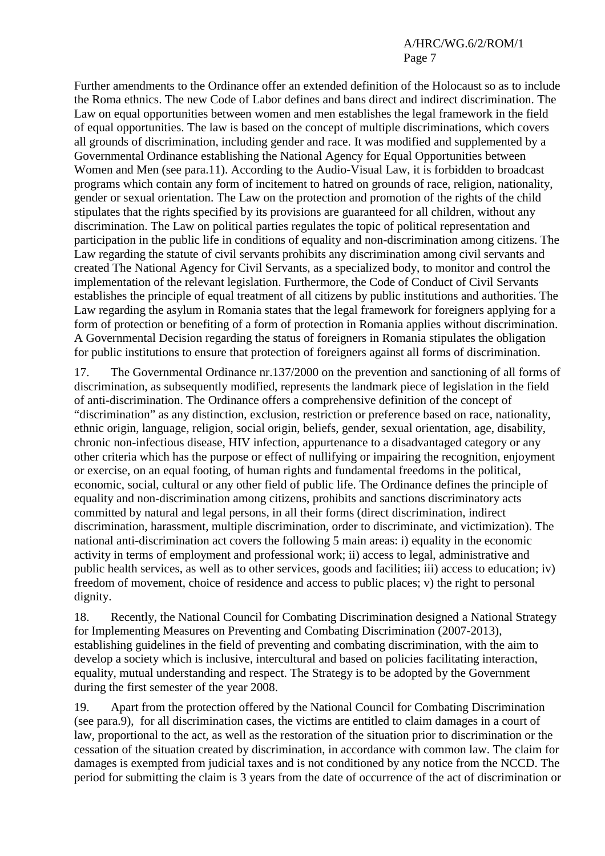Further amendments to the Ordinance offer an extended definition of the Holocaust so as to include the Roma ethnics. The new Code of Labor defines and bans direct and indirect discrimination. The Law on equal opportunities between women and men establishes the legal framework in the field of equal opportunities. The law is based on the concept of multiple discriminations, which covers all grounds of discrimination, including gender and race. It was modified and supplemented by a Governmental Ordinance establishing the National Agency for Equal Opportunities between Women and Men (see para.11). According to the Audio-Visual Law, it is forbidden to broadcast programs which contain any form of incitement to hatred on grounds of race, religion, nationality, gender or sexual orientation. The Law on the protection and promotion of the rights of the child stipulates that the rights specified by its provisions are guaranteed for all children, without any discrimination. The Law on political parties regulates the topic of political representation and participation in the public life in conditions of equality and non-discrimination among citizens. The Law regarding the statute of civil servants prohibits any discrimination among civil servants and created The National Agency for Civil Servants, as a specialized body, to monitor and control the implementation of the relevant legislation. Furthermore, the Code of Conduct of Civil Servants establishes the principle of equal treatment of all citizens by public institutions and authorities. The Law regarding the asylum in Romania states that the legal framework for foreigners applying for a form of protection or benefiting of a form of protection in Romania applies without discrimination. A Governmental Decision regarding the status of foreigners in Romania stipulates the obligation for public institutions to ensure that protection of foreigners against all forms of discrimination.

17. The Governmental Ordinance nr.137/2000 on the prevention and sanctioning of all forms of discrimination, as subsequently modified, represents the landmark piece of legislation in the field of anti-discrimination. The Ordinance offers a comprehensive definition of the concept of "discrimination" as any distinction, exclusion, restriction or preference based on race, nationality, ethnic origin, language, religion, social origin, beliefs, gender, sexual orientation, age, disability, chronic non-infectious disease, HIV infection, appurtenance to a disadvantaged category or any other criteria which has the purpose or effect of nullifying or impairing the recognition, enjoyment or exercise, on an equal footing, of human rights and fundamental freedoms in the political, economic, social, cultural or any other field of public life. The Ordinance defines the principle of equality and non-discrimination among citizens, prohibits and sanctions discriminatory acts committed by natural and legal persons, in all their forms (direct discrimination, indirect discrimination, harassment, multiple discrimination, order to discriminate, and victimization). The national anti-discrimination act covers the following 5 main areas: i) equality in the economic activity in terms of employment and professional work; ii) access to legal, administrative and public health services, as well as to other services, goods and facilities; iii) access to education; iv) freedom of movement, choice of residence and access to public places; v) the right to personal dignity.

18. Recently, the National Council for Combating Discrimination designed a National Strategy for Implementing Measures on Preventing and Combating Discrimination (2007-2013), establishing guidelines in the field of preventing and combating discrimination, with the aim to develop a society which is inclusive, intercultural and based on policies facilitating interaction, equality, mutual understanding and respect. The Strategy is to be adopted by the Government during the first semester of the year 2008.

19. Apart from the protection offered by the National Council for Combating Discrimination (see para.9), for all discrimination cases, the victims are entitled to claim damages in a court of law, proportional to the act, as well as the restoration of the situation prior to discrimination or the cessation of the situation created by discrimination, in accordance with common law. The claim for damages is exempted from judicial taxes and is not conditioned by any notice from the NCCD. The period for submitting the claim is 3 years from the date of occurrence of the act of discrimination or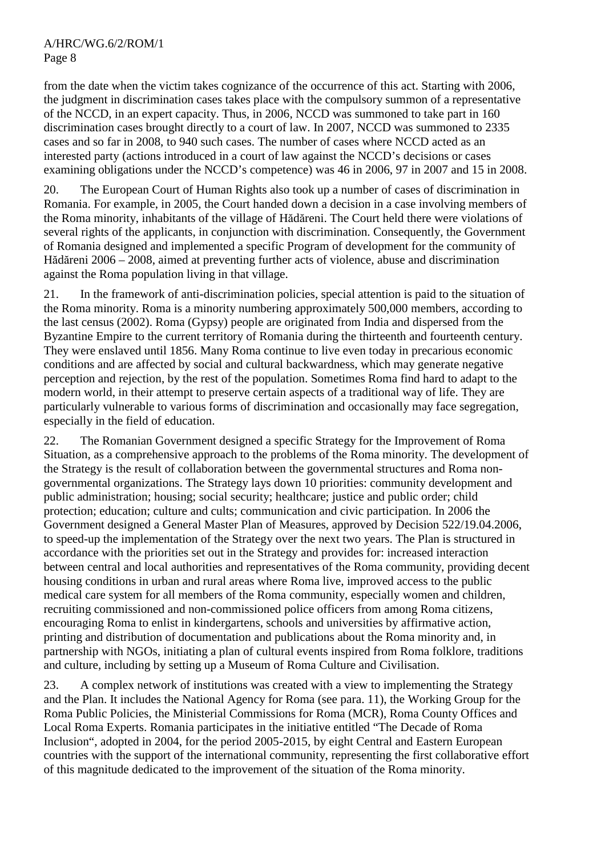from the date when the victim takes cognizance of the occurrence of this act. Starting with 2006, the judgment in discrimination cases takes place with the compulsory summon of a representative of the NCCD, in an expert capacity. Thus, in 2006, NCCD was summoned to take part in 160 discrimination cases brought directly to a court of law. In 2007, NCCD was summoned to 2335 cases and so far in 2008, to 940 such cases. The number of cases where NCCD acted as an interested party (actions introduced in a court of law against the NCCD's decisions or cases examining obligations under the NCCD's competence) was 46 in 2006, 97 in 2007 and 15 in 2008.

20. The European Court of Human Rights also took up a number of cases of discrimination in Romania. For example, in 2005, the Court handed down a decision in a case involving members of the Roma minority, inhabitants of the village of Hădăreni. The Court held there were violations of several rights of the applicants, in conjunction with discrimination. Consequently, the Government of Romania designed and implemented a specific Program of development for the community of Hădăreni 2006 – 2008, aimed at preventing further acts of violence, abuse and discrimination against the Roma population living in that village.

21. In the framework of anti-discrimination policies, special attention is paid to the situation of the Roma minority. Roma is a minority numbering approximately 500,000 members, according to the last census (2002). Roma (Gypsy) people are originated from India and dispersed from the Byzantine Empire to the current territory of Romania during the thirteenth and fourteenth century. They were enslaved until 1856. Many Roma continue to live even today in precarious economic conditions and are affected by social and cultural backwardness, which may generate negative perception and rejection, by the rest of the population. Sometimes Roma find hard to adapt to the modern world, in their attempt to preserve certain aspects of a traditional way of life. They are particularly vulnerable to various forms of discrimination and occasionally may face segregation, especially in the field of education.

22. The Romanian Government designed a specific Strategy for the Improvement of Roma Situation, as a comprehensive approach to the problems of the Roma minority. The development of the Strategy is the result of collaboration between the governmental structures and Roma nongovernmental organizations. The Strategy lays down 10 priorities: community development and public administration; housing; social security; healthcare; justice and public order; child protection; education; culture and cults; communication and civic participation. In 2006 the Government designed a General Master Plan of Measures, approved by Decision 522/19.04.2006, to speed-up the implementation of the Strategy over the next two years. The Plan is structured in accordance with the priorities set out in the Strategy and provides for: increased interaction between central and local authorities and representatives of the Roma community, providing decent housing conditions in urban and rural areas where Roma live, improved access to the public medical care system for all members of the Roma community, especially women and children, recruiting commissioned and non-commissioned police officers from among Roma citizens, encouraging Roma to enlist in kindergartens, schools and universities by affirmative action, printing and distribution of documentation and publications about the Roma minority and, in partnership with NGOs, initiating a plan of cultural events inspired from Roma folklore, traditions and culture, including by setting up a Museum of Roma Culture and Civilisation.

23. A complex network of institutions was created with a view to implementing the Strategy and the Plan. It includes the National Agency for Roma (see para. 11), the Working Group for the Roma Public Policies, the Ministerial Commissions for Roma (MCR), Roma County Offices and Local Roma Experts. Romania participates in the initiative entitled "The Decade of Roma Inclusion", adopted in 2004, for the period 2005-2015, by eight Central and Eastern European countries with the support of the international community, representing the first collaborative effort of this magnitude dedicated to the improvement of the situation of the Roma minority.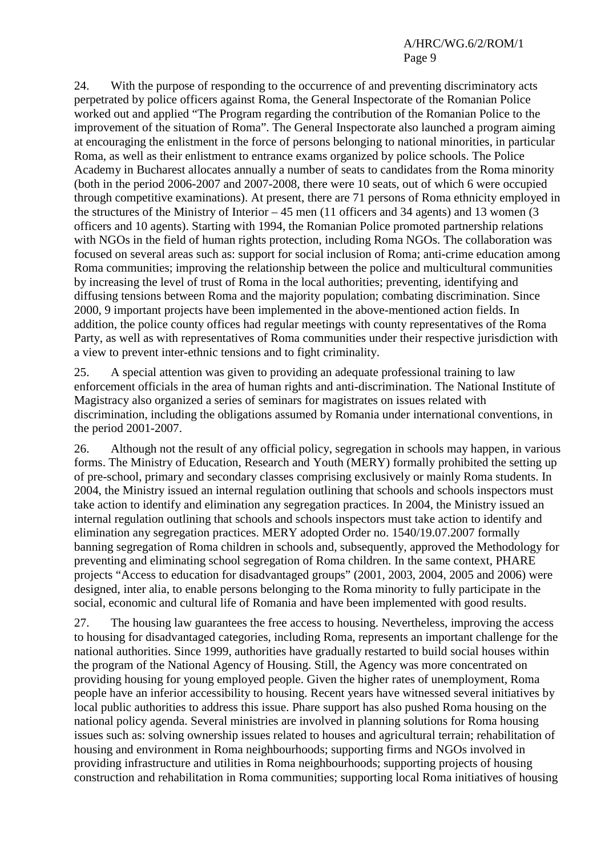24. With the purpose of responding to the occurrence of and preventing discriminatory acts perpetrated by police officers against Roma, the General Inspectorate of the Romanian Police worked out and applied "The Program regarding the contribution of the Romanian Police to the improvement of the situation of Roma". The General Inspectorate also launched a program aiming at encouraging the enlistment in the force of persons belonging to national minorities, in particular Roma, as well as their enlistment to entrance exams organized by police schools. The Police Academy in Bucharest allocates annually a number of seats to candidates from the Roma minority (both in the period 2006-2007 and 2007-2008, there were 10 seats, out of which 6 were occupied through competitive examinations). At present, there are 71 persons of Roma ethnicity employed in the structures of the Ministry of Interior – 45 men (11 officers and 34 agents) and 13 women (3 officers and 10 agents). Starting with 1994, the Romanian Police promoted partnership relations with NGOs in the field of human rights protection, including Roma NGOs. The collaboration was focused on several areas such as: support for social inclusion of Roma; anti-crime education among Roma communities; improving the relationship between the police and multicultural communities by increasing the level of trust of Roma in the local authorities; preventing, identifying and diffusing tensions between Roma and the majority population; combating discrimination. Since 2000, 9 important projects have been implemented in the above-mentioned action fields. In addition, the police county offices had regular meetings with county representatives of the Roma Party, as well as with representatives of Roma communities under their respective jurisdiction with a view to prevent inter-ethnic tensions and to fight criminality.

25. A special attention was given to providing an adequate professional training to law enforcement officials in the area of human rights and anti-discrimination. The National Institute of Magistracy also organized a series of seminars for magistrates on issues related with discrimination, including the obligations assumed by Romania under international conventions, in the period 2001-2007.

26. Although not the result of any official policy, segregation in schools may happen, in various forms. The Ministry of Education, Research and Youth (MERY) formally prohibited the setting up of pre-school, primary and secondary classes comprising exclusively or mainly Roma students. In 2004, the Ministry issued an internal regulation outlining that schools and schools inspectors must take action to identify and elimination any segregation practices. In 2004, the Ministry issued an internal regulation outlining that schools and schools inspectors must take action to identify and elimination any segregation practices. MERY adopted Order no. 1540/19.07.2007 formally banning segregation of Roma children in schools and, subsequently, approved the Methodology for preventing and eliminating school segregation of Roma children. In the same context, PHARE projects "Access to education for disadvantaged groups" (2001, 2003, 2004, 2005 and 2006) were designed, inter alia, to enable persons belonging to the Roma minority to fully participate in the social, economic and cultural life of Romania and have been implemented with good results.

27. The housing law guarantees the free access to housing. Nevertheless, improving the access to housing for disadvantaged categories, including Roma, represents an important challenge for the national authorities. Since 1999, authorities have gradually restarted to build social houses within the program of the National Agency of Housing. Still, the Agency was more concentrated on providing housing for young employed people. Given the higher rates of unemployment, Roma people have an inferior accessibility to housing. Recent years have witnessed several initiatives by local public authorities to address this issue. Phare support has also pushed Roma housing on the national policy agenda. Several ministries are involved in planning solutions for Roma housing issues such as: solving ownership issues related to houses and agricultural terrain; rehabilitation of housing and environment in Roma neighbourhoods; supporting firms and NGOs involved in providing infrastructure and utilities in Roma neighbourhoods; supporting projects of housing construction and rehabilitation in Roma communities; supporting local Roma initiatives of housing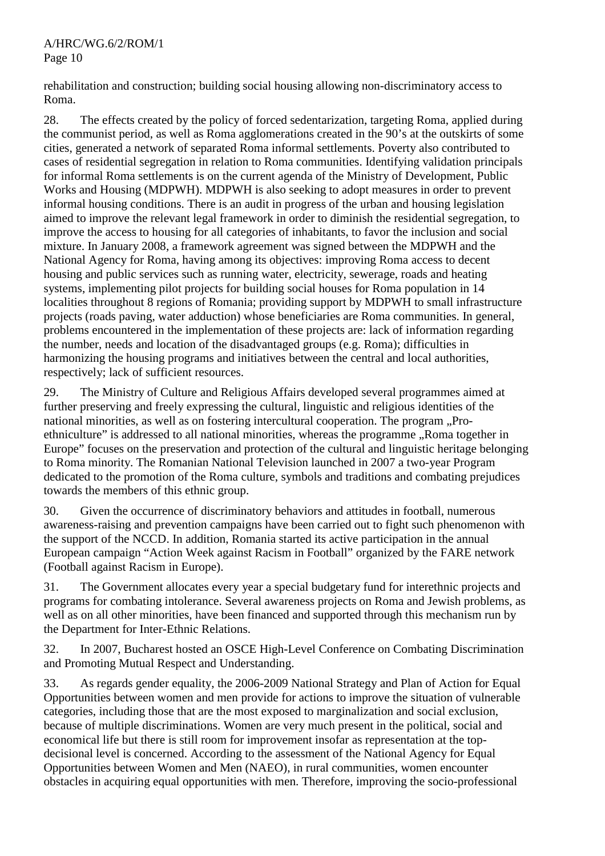rehabilitation and construction; building social housing allowing non-discriminatory access to Roma.

28. The effects created by the policy of forced sedentarization, targeting Roma, applied during the communist period, as well as Roma agglomerations created in the 90's at the outskirts of some cities, generated a network of separated Roma informal settlements. Poverty also contributed to cases of residential segregation in relation to Roma communities. Identifying validation principals for informal Roma settlements is on the current agenda of the Ministry of Development, Public Works and Housing (MDPWH). MDPWH is also seeking to adopt measures in order to prevent informal housing conditions. There is an audit in progress of the urban and housing legislation aimed to improve the relevant legal framework in order to diminish the residential segregation, to improve the access to housing for all categories of inhabitants, to favor the inclusion and social mixture. In January 2008, a framework agreement was signed between the MDPWH and the National Agency for Roma, having among its objectives: improving Roma access to decent housing and public services such as running water, electricity, sewerage, roads and heating systems, implementing pilot projects for building social houses for Roma population in 14 localities throughout 8 regions of Romania; providing support by MDPWH to small infrastructure projects (roads paving, water adduction) whose beneficiaries are Roma communities. In general, problems encountered in the implementation of these projects are: lack of information regarding the number, needs and location of the disadvantaged groups (e.g. Roma); difficulties in harmonizing the housing programs and initiatives between the central and local authorities, respectively; lack of sufficient resources.

29. The Ministry of Culture and Religious Affairs developed several programmes aimed at further preserving and freely expressing the cultural, linguistic and religious identities of the national minorities, as well as on fostering intercultural cooperation. The program "Proethniculture" is addressed to all national minorities, whereas the programme "Roma together in Europe" focuses on the preservation and protection of the cultural and linguistic heritage belonging to Roma minority. The Romanian National Television launched in 2007 a two-year Program dedicated to the promotion of the Roma culture, symbols and traditions and combating prejudices towards the members of this ethnic group.

30. Given the occurrence of discriminatory behaviors and attitudes in football, numerous awareness-raising and prevention campaigns have been carried out to fight such phenomenon with the support of the NCCD. In addition, Romania started its active participation in the annual European campaign "Action Week against Racism in Football" organized by the FARE network (Football against Racism in Europe).

31. The Government allocates every year a special budgetary fund for interethnic projects and programs for combating intolerance. Several awareness projects on Roma and Jewish problems, as well as on all other minorities, have been financed and supported through this mechanism run by the Department for Inter-Ethnic Relations.

32. In 2007, Bucharest hosted an OSCE High-Level Conference on Combating Discrimination and Promoting Mutual Respect and Understanding.

33. As regards gender equality, the 2006-2009 National Strategy and Plan of Action for Equal Opportunities between women and men provide for actions to improve the situation of vulnerable categories, including those that are the most exposed to marginalization and social exclusion, because of multiple discriminations. Women are very much present in the political, social and economical life but there is still room for improvement insofar as representation at the topdecisional level is concerned. According to the assessment of the National Agency for Equal Opportunities between Women and Men (NAEO), in rural communities, women encounter obstacles in acquiring equal opportunities with men. Therefore, improving the socio-professional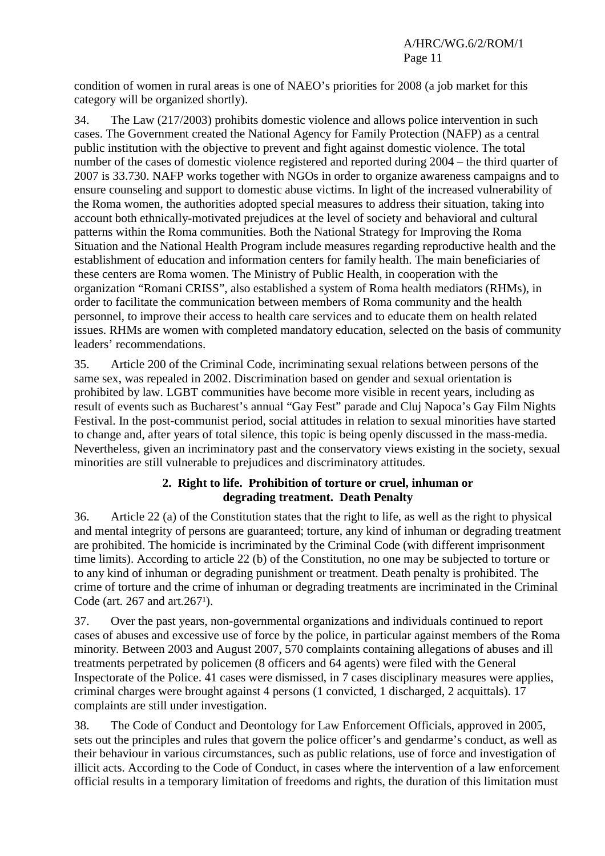condition of women in rural areas is one of NAEO's priorities for 2008 (a job market for this category will be organized shortly).

34. The Law (217/2003) prohibits domestic violence and allows police intervention in such cases. The Government created the National Agency for Family Protection (NAFP) as a central public institution with the objective to prevent and fight against domestic violence. The total number of the cases of domestic violence registered and reported during 2004 – the third quarter of 2007 is 33.730. NAFP works together with NGOs in order to organize awareness campaigns and to ensure counseling and support to domestic abuse victims. In light of the increased vulnerability of the Roma women, the authorities adopted special measures to address their situation, taking into account both ethnically-motivated prejudices at the level of society and behavioral and cultural patterns within the Roma communities. Both the National Strategy for Improving the Roma Situation and the National Health Program include measures regarding reproductive health and the establishment of education and information centers for family health. The main beneficiaries of these centers are Roma women. The Ministry of Public Health, in cooperation with the organization "Romani CRISS", also established a system of Roma health mediators (RHMs), in order to facilitate the communication between members of Roma community and the health personnel, to improve their access to health care services and to educate them on health related issues. RHMs are women with completed mandatory education, selected on the basis of community leaders' recommendations.

35. Article 200 of the Criminal Code, incriminating sexual relations between persons of the same sex, was repealed in 2002. Discrimination based on gender and sexual orientation is prohibited by law. LGBT communities have become more visible in recent years, including as result of events such as Bucharest's annual "Gay Fest" parade and Cluj Napoca's Gay Film Nights Festival. In the post-communist period, social attitudes in relation to sexual minorities have started to change and, after years of total silence, this topic is being openly discussed in the mass-media. Nevertheless, given an incriminatory past and the conservatory views existing in the society, sexual minorities are still vulnerable to prejudices and discriminatory attitudes.

# **2. Right to life. Prohibition of torture or cruel, inhuman or degrading treatment. Death Penalty**

36. Article 22 (a) of the Constitution states that the right to life, as well as the right to physical and mental integrity of persons are guaranteed; torture, any kind of inhuman or degrading treatment are prohibited. The homicide is incriminated by the Criminal Code (with different imprisonment time limits). According to article 22 (b) of the Constitution, no one may be subjected to torture or to any kind of inhuman or degrading punishment or treatment. Death penalty is prohibited. The crime of torture and the crime of inhuman or degrading treatments are incriminated in the Criminal Code (art.  $267$  and art.  $267<sup>1</sup>$ ).

37. Over the past years, non-governmental organizations and individuals continued to report cases of abuses and excessive use of force by the police, in particular against members of the Roma minority. Between 2003 and August 2007, 570 complaints containing allegations of abuses and ill treatments perpetrated by policemen (8 officers and 64 agents) were filed with the General Inspectorate of the Police. 41 cases were dismissed, in 7 cases disciplinary measures were applies, criminal charges were brought against 4 persons (1 convicted, 1 discharged, 2 acquittals). 17 complaints are still under investigation.

38. The Code of Conduct and Deontology for Law Enforcement Officials, approved in 2005, sets out the principles and rules that govern the police officer's and gendarme's conduct, as well as their behaviour in various circumstances, such as public relations, use of force and investigation of illicit acts. According to the Code of Conduct, in cases where the intervention of a law enforcement official results in a temporary limitation of freedoms and rights, the duration of this limitation must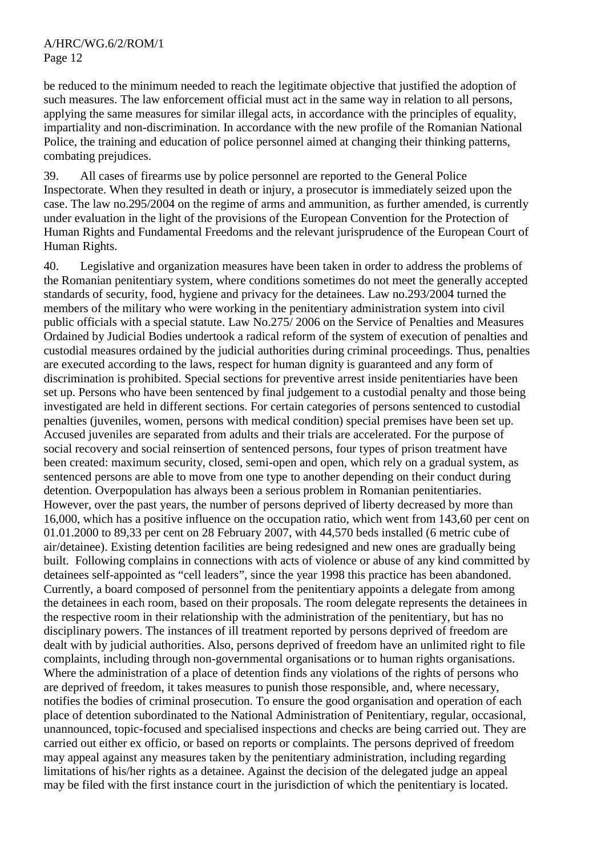be reduced to the minimum needed to reach the legitimate objective that justified the adoption of such measures. The law enforcement official must act in the same way in relation to all persons, applying the same measures for similar illegal acts, in accordance with the principles of equality, impartiality and non-discrimination. In accordance with the new profile of the Romanian National Police, the training and education of police personnel aimed at changing their thinking patterns, combating prejudices.

39. All cases of firearms use by police personnel are reported to the General Police Inspectorate. When they resulted in death or injury, a prosecutor is immediately seized upon the case. The law no.295/2004 on the regime of arms and ammunition, as further amended, is currently under evaluation in the light of the provisions of the European Convention for the Protection of Human Rights and Fundamental Freedoms and the relevant jurisprudence of the European Court of Human Rights.

40. Legislative and organization measures have been taken in order to address the problems of the Romanian penitentiary system, where conditions sometimes do not meet the generally accepted standards of security, food, hygiene and privacy for the detainees. Law no.293/2004 turned the members of the military who were working in the penitentiary administration system into civil public officials with a special statute. Law No.275/ 2006 on the Service of Penalties and Measures Ordained by Judicial Bodies undertook a radical reform of the system of execution of penalties and custodial measures ordained by the judicial authorities during criminal proceedings. Thus, penalties are executed according to the laws, respect for human dignity is guaranteed and any form of discrimination is prohibited. Special sections for preventive arrest inside penitentiaries have been set up. Persons who have been sentenced by final judgement to a custodial penalty and those being investigated are held in different sections. For certain categories of persons sentenced to custodial penalties (juveniles, women, persons with medical condition) special premises have been set up. Accused juveniles are separated from adults and their trials are accelerated. For the purpose of social recovery and social reinsertion of sentenced persons, four types of prison treatment have been created: maximum security, closed, semi-open and open, which rely on a gradual system, as sentenced persons are able to move from one type to another depending on their conduct during detention. Overpopulation has always been a serious problem in Romanian penitentiaries. However, over the past years, the number of persons deprived of liberty decreased by more than 16,000, which has a positive influence on the occupation ratio, which went from 143,60 per cent on 01.01.2000 to 89,33 per cent on 28 February 2007, with 44,570 beds installed (6 metric cube of air/detainee). Existing detention facilities are being redesigned and new ones are gradually being built. Following complains in connections with acts of violence or abuse of any kind committed by detainees self-appointed as "cell leaders", since the year 1998 this practice has been abandoned. Currently, a board composed of personnel from the penitentiary appoints a delegate from among the detainees in each room, based on their proposals. The room delegate represents the detainees in the respective room in their relationship with the administration of the penitentiary, but has no disciplinary powers. The instances of ill treatment reported by persons deprived of freedom are dealt with by judicial authorities. Also, persons deprived of freedom have an unlimited right to file complaints, including through non-governmental organisations or to human rights organisations. Where the administration of a place of detention finds any violations of the rights of persons who are deprived of freedom, it takes measures to punish those responsible, and, where necessary, notifies the bodies of criminal prosecution. To ensure the good organisation and operation of each place of detention subordinated to the National Administration of Penitentiary, regular, occasional, unannounced, topic-focused and specialised inspections and checks are being carried out. They are carried out either ex officio, or based on reports or complaints. The persons deprived of freedom may appeal against any measures taken by the penitentiary administration, including regarding limitations of his/her rights as a detainee. Against the decision of the delegated judge an appeal may be filed with the first instance court in the jurisdiction of which the penitentiary is located.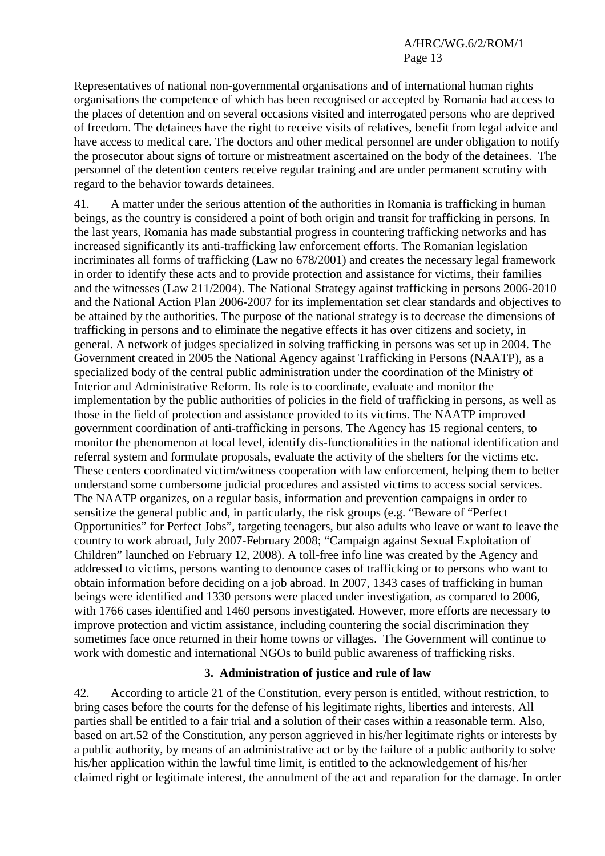Representatives of national non-governmental organisations and of international human rights organisations the competence of which has been recognised or accepted by Romania had access to the places of detention and on several occasions visited and interrogated persons who are deprived of freedom. The detainees have the right to receive visits of relatives, benefit from legal advice and have access to medical care. The doctors and other medical personnel are under obligation to notify the prosecutor about signs of torture or mistreatment ascertained on the body of the detainees. The personnel of the detention centers receive regular training and are under permanent scrutiny with regard to the behavior towards detainees.

41. A matter under the serious attention of the authorities in Romania is trafficking in human beings, as the country is considered a point of both origin and transit for trafficking in persons. In the last years, Romania has made substantial progress in countering trafficking networks and has increased significantly its anti-trafficking law enforcement efforts. The Romanian legislation incriminates all forms of trafficking (Law no 678/2001) and creates the necessary legal framework in order to identify these acts and to provide protection and assistance for victims, their families and the witnesses (Law 211/2004). The National Strategy against trafficking in persons 2006-2010 and the National Action Plan 2006-2007 for its implementation set clear standards and objectives to be attained by the authorities. The purpose of the national strategy is to decrease the dimensions of trafficking in persons and to eliminate the negative effects it has over citizens and society, in general. A network of judges specialized in solving trafficking in persons was set up in 2004. The Government created in 2005 the National Agency against Trafficking in Persons (NAATP), as a specialized body of the central public administration under the coordination of the Ministry of Interior and Administrative Reform. Its role is to coordinate, evaluate and monitor the implementation by the public authorities of policies in the field of trafficking in persons, as well as those in the field of protection and assistance provided to its victims. The NAATP improved government coordination of anti-trafficking in persons. The Agency has 15 regional centers, to monitor the phenomenon at local level, identify dis-functionalities in the national identification and referral system and formulate proposals, evaluate the activity of the shelters for the victims etc. These centers coordinated victim/witness cooperation with law enforcement, helping them to better understand some cumbersome judicial procedures and assisted victims to access social services. The NAATP organizes, on a regular basis, information and prevention campaigns in order to sensitize the general public and, in particularly, the risk groups (e.g. "Beware of "Perfect Opportunities" for Perfect Jobs", targeting teenagers, but also adults who leave or want to leave the country to work abroad, July 2007-February 2008; "Campaign against Sexual Exploitation of Children" launched on February 12, 2008). A toll-free info line was created by the Agency and addressed to victims, persons wanting to denounce cases of trafficking or to persons who want to obtain information before deciding on a job abroad. In 2007, 1343 cases of trafficking in human beings were identified and 1330 persons were placed under investigation, as compared to 2006, with 1766 cases identified and 1460 persons investigated. However, more efforts are necessary to improve protection and victim assistance, including countering the social discrimination they sometimes face once returned in their home towns or villages. The Government will continue to work with domestic and international NGOs to build public awareness of trafficking risks.

#### **3. Administration of justice and rule of law**

42. According to article 21 of the Constitution, every person is entitled, without restriction, to bring cases before the courts for the defense of his legitimate rights, liberties and interests. All parties shall be entitled to a fair trial and a solution of their cases within a reasonable term. Also, based on art.52 of the Constitution, any person aggrieved in his/her legitimate rights or interests by a public authority, by means of an administrative act or by the failure of a public authority to solve his/her application within the lawful time limit, is entitled to the acknowledgement of his/her claimed right or legitimate interest, the annulment of the act and reparation for the damage. In order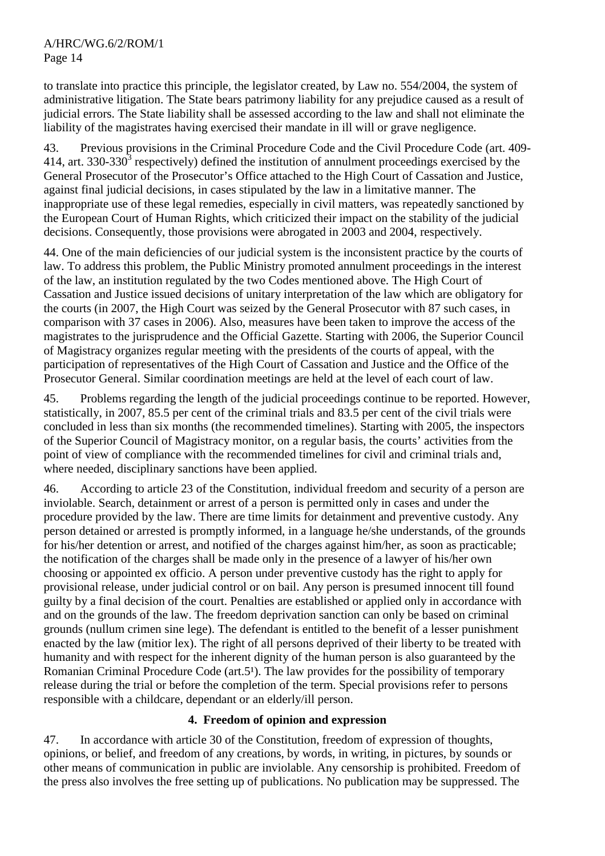to translate into practice this principle, the legislator created, by Law no. 554/2004, the system of administrative litigation. The State bears patrimony liability for any prejudice caused as a result of judicial errors. The State liability shall be assessed according to the law and shall not eliminate the liability of the magistrates having exercised their mandate in ill will or grave negligence.

43. Previous provisions in the Criminal Procedure Code and the Civil Procedure Code (art. 409- 414, art. 330-330<sup>3</sup> respectively) defined the institution of annulment proceedings exercised by the General Prosecutor of the Prosecutor's Office attached to the High Court of Cassation and Justice, against final judicial decisions, in cases stipulated by the law in a limitative manner. The inappropriate use of these legal remedies, especially in civil matters, was repeatedly sanctioned by the European Court of Human Rights, which criticized their impact on the stability of the judicial decisions. Consequently, those provisions were abrogated in 2003 and 2004, respectively.

44. One of the main deficiencies of our judicial system is the inconsistent practice by the courts of law. To address this problem, the Public Ministry promoted annulment proceedings in the interest of the law, an institution regulated by the two Codes mentioned above. The High Court of Cassation and Justice issued decisions of unitary interpretation of the law which are obligatory for the courts (in 2007, the High Court was seized by the General Prosecutor with 87 such cases, in comparison with 37 cases in 2006). Also, measures have been taken to improve the access of the magistrates to the jurisprudence and the Official Gazette. Starting with 2006, the Superior Council of Magistracy organizes regular meeting with the presidents of the courts of appeal, with the participation of representatives of the High Court of Cassation and Justice and the Office of the Prosecutor General. Similar coordination meetings are held at the level of each court of law.

45. Problems regarding the length of the judicial proceedings continue to be reported. However, statistically, in 2007, 85.5 per cent of the criminal trials and 83.5 per cent of the civil trials were concluded in less than six months (the recommended timelines). Starting with 2005, the inspectors of the Superior Council of Magistracy monitor, on a regular basis, the courts' activities from the point of view of compliance with the recommended timelines for civil and criminal trials and, where needed, disciplinary sanctions have been applied.

46. According to article 23 of the Constitution, individual freedom and security of a person are inviolable. Search, detainment or arrest of a person is permitted only in cases and under the procedure provided by the law. There are time limits for detainment and preventive custody. Any person detained or arrested is promptly informed, in a language he/she understands, of the grounds for his/her detention or arrest, and notified of the charges against him/her, as soon as practicable; the notification of the charges shall be made only in the presence of a lawyer of his/her own choosing or appointed ex officio. A person under preventive custody has the right to apply for provisional release, under judicial control or on bail. Any person is presumed innocent till found guilty by a final decision of the court. Penalties are established or applied only in accordance with and on the grounds of the law. The freedom deprivation sanction can only be based on criminal grounds (nullum crimen sine lege). The defendant is entitled to the benefit of a lesser punishment enacted by the law (mitior lex). The right of all persons deprived of their liberty to be treated with humanity and with respect for the inherent dignity of the human person is also guaranteed by the Romanian Criminal Procedure Code ( $art.5<sup>1</sup>$ ). The law provides for the possibility of temporary release during the trial or before the completion of the term. Special provisions refer to persons responsible with a childcare, dependant or an elderly/ill person.

# **4. Freedom of opinion and expression**

47. In accordance with article 30 of the Constitution, freedom of expression of thoughts, opinions, or belief, and freedom of any creations, by words, in writing, in pictures, by sounds or other means of communication in public are inviolable. Any censorship is prohibited. Freedom of the press also involves the free setting up of publications. No publication may be suppressed. The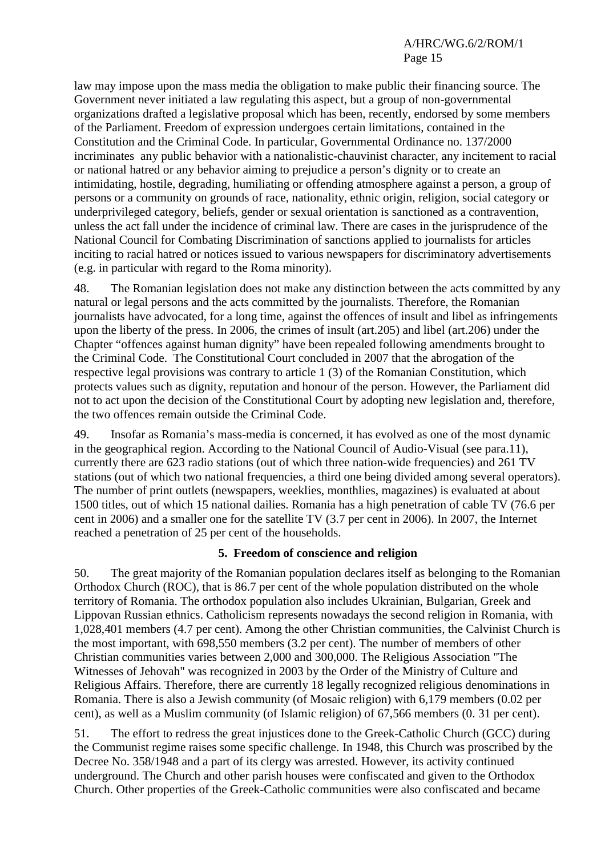law may impose upon the mass media the obligation to make public their financing source. The Government never initiated a law regulating this aspect, but a group of non-governmental organizations drafted a legislative proposal which has been, recently, endorsed by some members of the Parliament. Freedom of expression undergoes certain limitations, contained in the Constitution and the Criminal Code. In particular, Governmental Ordinance no. 137/2000 incriminates any public behavior with a nationalistic-chauvinist character, any incitement to racial or national hatred or any behavior aiming to prejudice a person's dignity or to create an intimidating, hostile, degrading, humiliating or offending atmosphere against a person, a group of persons or a community on grounds of race, nationality, ethnic origin, religion, social category or underprivileged category, beliefs, gender or sexual orientation is sanctioned as a contravention, unless the act fall under the incidence of criminal law. There are cases in the jurisprudence of the National Council for Combating Discrimination of sanctions applied to journalists for articles inciting to racial hatred or notices issued to various newspapers for discriminatory advertisements (e.g. in particular with regard to the Roma minority).

48. The Romanian legislation does not make any distinction between the acts committed by any natural or legal persons and the acts committed by the journalists. Therefore, the Romanian journalists have advocated, for a long time, against the offences of insult and libel as infringements upon the liberty of the press. In 2006, the crimes of insult (art.205) and libel (art.206) under the Chapter "offences against human dignity" have been repealed following amendments brought to the Criminal Code. The Constitutional Court concluded in 2007 that the abrogation of the respective legal provisions was contrary to article 1 (3) of the Romanian Constitution, which protects values such as dignity, reputation and honour of the person. However, the Parliament did not to act upon the decision of the Constitutional Court by adopting new legislation and, therefore, the two offences remain outside the Criminal Code.

49. Insofar as Romania's mass-media is concerned, it has evolved as one of the most dynamic in the geographical region. According to the National Council of Audio-Visual (see para.11), currently there are 623 radio stations (out of which three nation-wide frequencies) and 261 TV stations (out of which two national frequencies, a third one being divided among several operators). The number of print outlets (newspapers, weeklies, monthlies, magazines) is evaluated at about 1500 titles, out of which 15 national dailies. Romania has a high penetration of cable TV (76.6 per cent in 2006) and a smaller one for the satellite TV (3.7 per cent in 2006). In 2007, the Internet reached a penetration of 25 per cent of the households.

# **5. Freedom of conscience and religion**

50. The great majority of the Romanian population declares itself as belonging to the Romanian Orthodox Church (ROC), that is 86.7 per cent of the whole population distributed on the whole territory of Romania. The orthodox population also includes Ukrainian, Bulgarian, Greek and Lippovan Russian ethnics. Catholicism represents nowadays the second religion in Romania, with 1,028,401 members (4.7 per cent). Among the other Christian communities, the Calvinist Church is the most important, with 698,550 members (3.2 per cent). The number of members of other Christian communities varies between 2,000 and 300,000. The Religious Association "The Witnesses of Jehovah" was recognized in 2003 by the Order of the Ministry of Culture and Religious Affairs. Therefore, there are currently 18 legally recognized religious denominations in Romania. There is also a Jewish community (of Mosaic religion) with 6,179 members (0.02 per cent), as well as a Muslim community (of Islamic religion) of 67,566 members (0. 31 per cent).

51. The effort to redress the great injustices done to the Greek-Catholic Church (GCC) during the Communist regime raises some specific challenge. In 1948, this Church was proscribed by the Decree No. 358/1948 and a part of its clergy was arrested. However, its activity continued underground. The Church and other parish houses were confiscated and given to the Orthodox Church. Other properties of the Greek-Catholic communities were also confiscated and became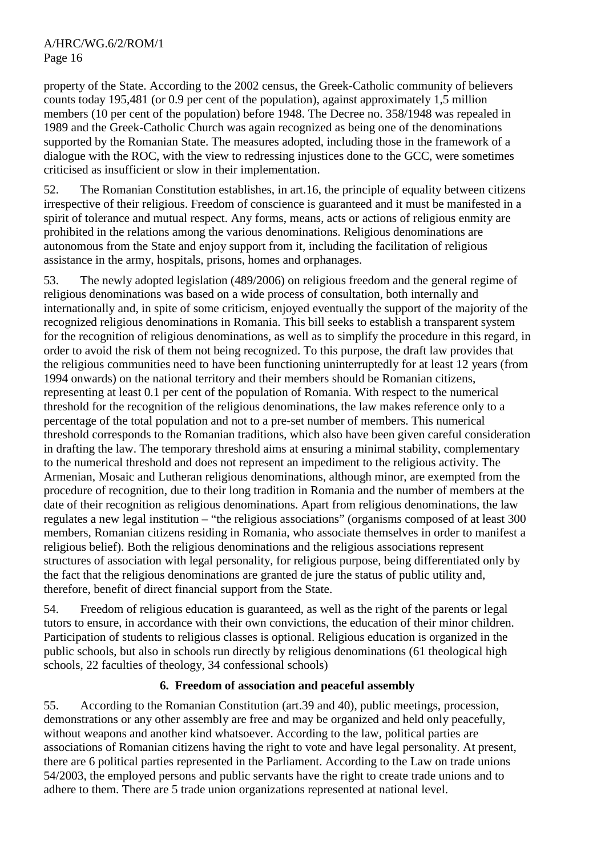property of the State. According to the 2002 census, the Greek-Catholic community of believers counts today 195,481 (or 0.9 per cent of the population), against approximately 1,5 million members (10 per cent of the population) before 1948. The Decree no. 358/1948 was repealed in 1989 and the Greek-Catholic Church was again recognized as being one of the denominations supported by the Romanian State. The measures adopted, including those in the framework of a dialogue with the ROC, with the view to redressing injustices done to the GCC, were sometimes criticised as insufficient or slow in their implementation.

52. The Romanian Constitution establishes, in art.16, the principle of equality between citizens irrespective of their religious. Freedom of conscience is guaranteed and it must be manifested in a spirit of tolerance and mutual respect. Any forms, means, acts or actions of religious enmity are prohibited in the relations among the various denominations. Religious denominations are autonomous from the State and enjoy support from it, including the facilitation of religious assistance in the army, hospitals, prisons, homes and orphanages.

53. The newly adopted legislation (489/2006) on religious freedom and the general regime of religious denominations was based on a wide process of consultation, both internally and internationally and, in spite of some criticism, enjoyed eventually the support of the majority of the recognized religious denominations in Romania. This bill seeks to establish a transparent system for the recognition of religious denominations, as well as to simplify the procedure in this regard, in order to avoid the risk of them not being recognized. To this purpose, the draft law provides that the religious communities need to have been functioning uninterruptedly for at least 12 years (from 1994 onwards) on the national territory and their members should be Romanian citizens, representing at least 0.1 per cent of the population of Romania. With respect to the numerical threshold for the recognition of the religious denominations, the law makes reference only to a percentage of the total population and not to a pre-set number of members. This numerical threshold corresponds to the Romanian traditions, which also have been given careful consideration in drafting the law. The temporary threshold aims at ensuring a minimal stability, complementary to the numerical threshold and does not represent an impediment to the religious activity. The Armenian, Mosaic and Lutheran religious denominations, although minor, are exempted from the procedure of recognition, due to their long tradition in Romania and the number of members at the date of their recognition as religious denominations. Apart from religious denominations, the law regulates a new legal institution – "the religious associations" (organisms composed of at least 300 members, Romanian citizens residing in Romania, who associate themselves in order to manifest a religious belief). Both the religious denominations and the religious associations represent structures of association with legal personality, for religious purpose, being differentiated only by the fact that the religious denominations are granted de jure the status of public utility and, therefore, benefit of direct financial support from the State.

54. Freedom of religious education is guaranteed, as well as the right of the parents or legal tutors to ensure, in accordance with their own convictions, the education of their minor children. Participation of students to religious classes is optional. Religious education is organized in the public schools, but also in schools run directly by religious denominations (61 theological high schools, 22 faculties of theology, 34 confessional schools)

# **6. Freedom of association and peaceful assembly**

55. According to the Romanian Constitution (art.39 and 40), public meetings, procession, demonstrations or any other assembly are free and may be organized and held only peacefully, without weapons and another kind whatsoever. According to the law, political parties are associations of Romanian citizens having the right to vote and have legal personality. At present, there are 6 political parties represented in the Parliament. According to the Law on trade unions 54/2003, the employed persons and public servants have the right to create trade unions and to adhere to them. There are 5 trade union organizations represented at national level.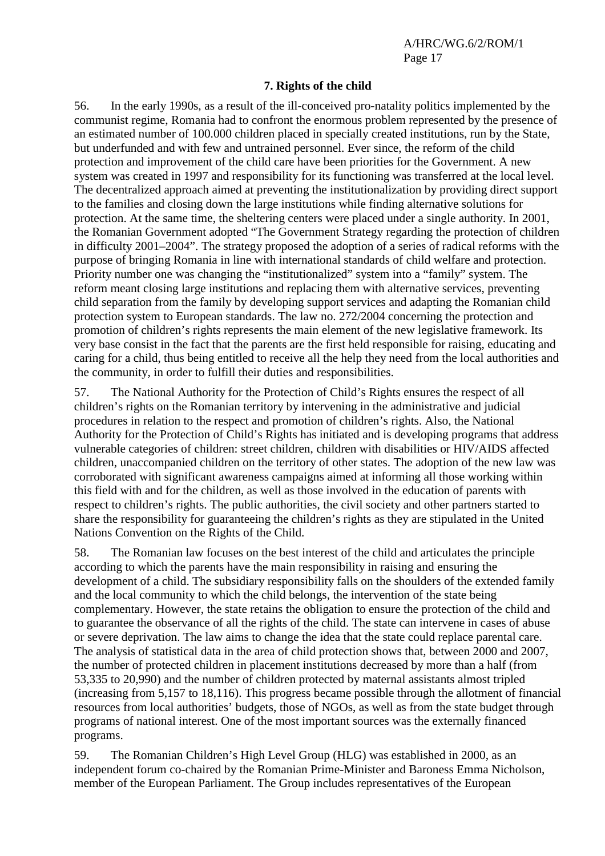#### **7. Rights of the child**

56. In the early 1990s, as a result of the ill-conceived pro-natality politics implemented by the communist regime, Romania had to confront the enormous problem represented by the presence of an estimated number of 100.000 children placed in specially created institutions, run by the State, but underfunded and with few and untrained personnel. Ever since, the reform of the child protection and improvement of the child care have been priorities for the Government. A new system was created in 1997 and responsibility for its functioning was transferred at the local level. The decentralized approach aimed at preventing the institutionalization by providing direct support to the families and closing down the large institutions while finding alternative solutions for protection. At the same time, the sheltering centers were placed under a single authority. In 2001, the Romanian Government adopted "The Government Strategy regarding the protection of children in difficulty 2001–2004". The strategy proposed the adoption of a series of radical reforms with the purpose of bringing Romania in line with international standards of child welfare and protection. Priority number one was changing the "institutionalized" system into a "family" system. The reform meant closing large institutions and replacing them with alternative services, preventing child separation from the family by developing support services and adapting the Romanian child protection system to European standards. The law no. 272/2004 concerning the protection and promotion of children's rights represents the main element of the new legislative framework. Its very base consist in the fact that the parents are the first held responsible for raising, educating and caring for a child, thus being entitled to receive all the help they need from the local authorities and the community, in order to fulfill their duties and responsibilities.

57. The National Authority for the Protection of Child's Rights ensures the respect of all children's rights on the Romanian territory by intervening in the administrative and judicial procedures in relation to the respect and promotion of children's rights. Also, the National Authority for the Protection of Child's Rights has initiated and is developing programs that address vulnerable categories of children: street children, children with disabilities or HIV/AIDS affected children, unaccompanied children on the territory of other states. The adoption of the new law was corroborated with significant awareness campaigns aimed at informing all those working within this field with and for the children, as well as those involved in the education of parents with respect to children's rights. The public authorities, the civil society and other partners started to share the responsibility for guaranteeing the children's rights as they are stipulated in the United Nations Convention on the Rights of the Child.

58. The Romanian law focuses on the best interest of the child and articulates the principle according to which the parents have the main responsibility in raising and ensuring the development of a child. The subsidiary responsibility falls on the shoulders of the extended family and the local community to which the child belongs, the intervention of the state being complementary. However, the state retains the obligation to ensure the protection of the child and to guarantee the observance of all the rights of the child. The state can intervene in cases of abuse or severe deprivation. The law aims to change the idea that the state could replace parental care. The analysis of statistical data in the area of child protection shows that, between 2000 and 2007, the number of protected children in placement institutions decreased by more than a half (from 53,335 to 20,990) and the number of children protected by maternal assistants almost tripled (increasing from 5,157 to 18,116). This progress became possible through the allotment of financial resources from local authorities' budgets, those of NGOs, as well as from the state budget through programs of national interest. One of the most important sources was the externally financed programs.

59. The Romanian Children's High Level Group (HLG) was established in 2000, as an independent forum co-chaired by the Romanian Prime-Minister and Baroness Emma Nicholson, member of the European Parliament. The Group includes representatives of the European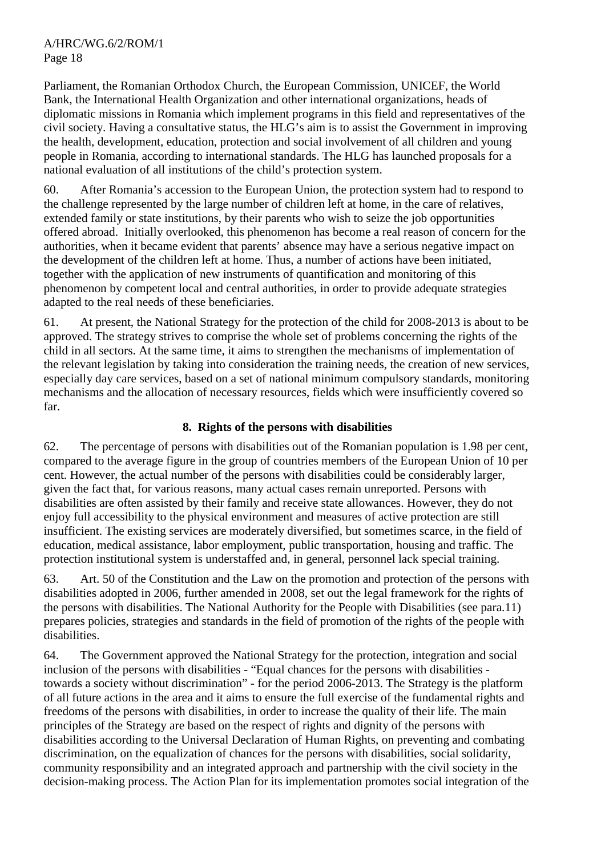Parliament, the Romanian Orthodox Church, the European Commission, UNICEF, the World Bank, the International Health Organization and other international organizations, heads of diplomatic missions in Romania which implement programs in this field and representatives of the civil society. Having a consultative status, the HLG's aim is to assist the Government in improving the health, development, education, protection and social involvement of all children and young people in Romania, according to international standards. The HLG has launched proposals for a national evaluation of all institutions of the child's protection system.

60. After Romania's accession to the European Union, the protection system had to respond to the challenge represented by the large number of children left at home, in the care of relatives, extended family or state institutions, by their parents who wish to seize the job opportunities offered abroad. Initially overlooked, this phenomenon has become a real reason of concern for the authorities, when it became evident that parents' absence may have a serious negative impact on the development of the children left at home. Thus, a number of actions have been initiated, together with the application of new instruments of quantification and monitoring of this phenomenon by competent local and central authorities, in order to provide adequate strategies adapted to the real needs of these beneficiaries.

61. At present, the National Strategy for the protection of the child for 2008-2013 is about to be approved. The strategy strives to comprise the whole set of problems concerning the rights of the child in all sectors. At the same time, it aims to strengthen the mechanisms of implementation of the relevant legislation by taking into consideration the training needs, the creation of new services, especially day care services, based on a set of national minimum compulsory standards, monitoring mechanisms and the allocation of necessary resources, fields which were insufficiently covered so far.

# **8. Rights of the persons with disabilities**

62. The percentage of persons with disabilities out of the Romanian population is 1.98 per cent, compared to the average figure in the group of countries members of the European Union of 10 per cent. However, the actual number of the persons with disabilities could be considerably larger, given the fact that, for various reasons, many actual cases remain unreported. Persons with disabilities are often assisted by their family and receive state allowances. However, they do not enjoy full accessibility to the physical environment and measures of active protection are still insufficient. The existing services are moderately diversified, but sometimes scarce, in the field of education, medical assistance, labor employment, public transportation, housing and traffic. The protection institutional system is understaffed and, in general, personnel lack special training.

63. Art. 50 of the Constitution and the Law on the promotion and protection of the persons with disabilities adopted in 2006, further amended in 2008, set out the legal framework for the rights of the persons with disabilities. The National Authority for the People with Disabilities (see para.11) prepares policies, strategies and standards in the field of promotion of the rights of the people with disabilities.

64. The Government approved the National Strategy for the protection, integration and social inclusion of the persons with disabilities - "Equal chances for the persons with disabilities towards a society without discrimination" - for the period 2006-2013. The Strategy is the platform of all future actions in the area and it aims to ensure the full exercise of the fundamental rights and freedoms of the persons with disabilities, in order to increase the quality of their life. The main principles of the Strategy are based on the respect of rights and dignity of the persons with disabilities according to the Universal Declaration of Human Rights, on preventing and combating discrimination, on the equalization of chances for the persons with disabilities, social solidarity, community responsibility and an integrated approach and partnership with the civil society in the decision-making process. The Action Plan for its implementation promotes social integration of the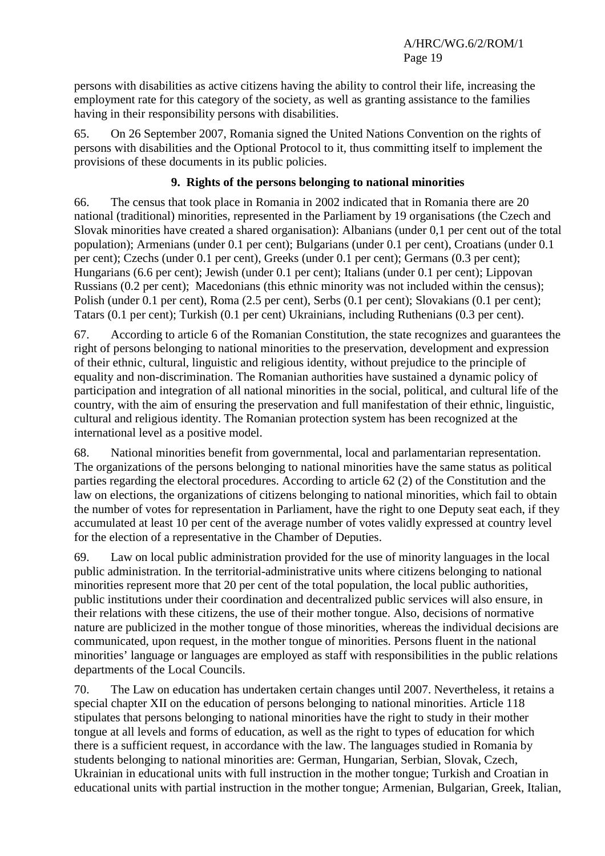persons with disabilities as active citizens having the ability to control their life, increasing the employment rate for this category of the society, as well as granting assistance to the families having in their responsibility persons with disabilities.

65. On 26 September 2007, Romania signed the United Nations Convention on the rights of persons with disabilities and the Optional Protocol to it, thus committing itself to implement the provisions of these documents in its public policies.

# **9. Rights of the persons belonging to national minorities**

66. The census that took place in Romania in 2002 indicated that in Romania there are 20 national (traditional) minorities, represented in the Parliament by 19 organisations (the Czech and Slovak minorities have created a shared organisation): Albanians (under 0,1 per cent out of the total population); Armenians (under 0.1 per cent); Bulgarians (under 0.1 per cent), Croatians (under 0.1 per cent); Czechs (under 0.1 per cent), Greeks (under 0.1 per cent); Germans (0.3 per cent); Hungarians (6.6 per cent); Jewish (under 0.1 per cent); Italians (under 0.1 per cent); Lippovan Russians (0.2 per cent); Macedonians (this ethnic minority was not included within the census); Polish (under 0.1 per cent), Roma (2.5 per cent), Serbs (0.1 per cent); Slovakians (0.1 per cent); Tatars (0.1 per cent); Turkish (0.1 per cent) Ukrainians, including Ruthenians (0.3 per cent).

67. According to article 6 of the Romanian Constitution, the state recognizes and guarantees the right of persons belonging to national minorities to the preservation, development and expression of their ethnic, cultural, linguistic and religious identity, without prejudice to the principle of equality and non-discrimination. The Romanian authorities have sustained a dynamic policy of participation and integration of all national minorities in the social, political, and cultural life of the country, with the aim of ensuring the preservation and full manifestation of their ethnic, linguistic, cultural and religious identity. The Romanian protection system has been recognized at the international level as a positive model.

68. National minorities benefit from governmental, local and parlamentarian representation. The organizations of the persons belonging to national minorities have the same status as political parties regarding the electoral procedures. According to article 62 (2) of the Constitution and the law on elections, the organizations of citizens belonging to national minorities, which fail to obtain the number of votes for representation in Parliament, have the right to one Deputy seat each, if they accumulated at least 10 per cent of the average number of votes validly expressed at country level for the election of a representative in the Chamber of Deputies.

69. Law on local public administration provided for the use of minority languages in the local public administration. In the territorial-administrative units where citizens belonging to national minorities represent more that 20 per cent of the total population, the local public authorities, public institutions under their coordination and decentralized public services will also ensure, in their relations with these citizens, the use of their mother tongue. Also, decisions of normative nature are publicized in the mother tongue of those minorities, whereas the individual decisions are communicated, upon request, in the mother tongue of minorities. Persons fluent in the national minorities' language or languages are employed as staff with responsibilities in the public relations departments of the Local Councils.

70. The Law on education has undertaken certain changes until 2007. Nevertheless, it retains a special chapter XII on the education of persons belonging to national minorities. Article 118 stipulates that persons belonging to national minorities have the right to study in their mother tongue at all levels and forms of education, as well as the right to types of education for which there is a sufficient request, in accordance with the law. The languages studied in Romania by students belonging to national minorities are: German, Hungarian, Serbian, Slovak, Czech, Ukrainian in educational units with full instruction in the mother tongue; Turkish and Croatian in educational units with partial instruction in the mother tongue; Armenian, Bulgarian, Greek, Italian,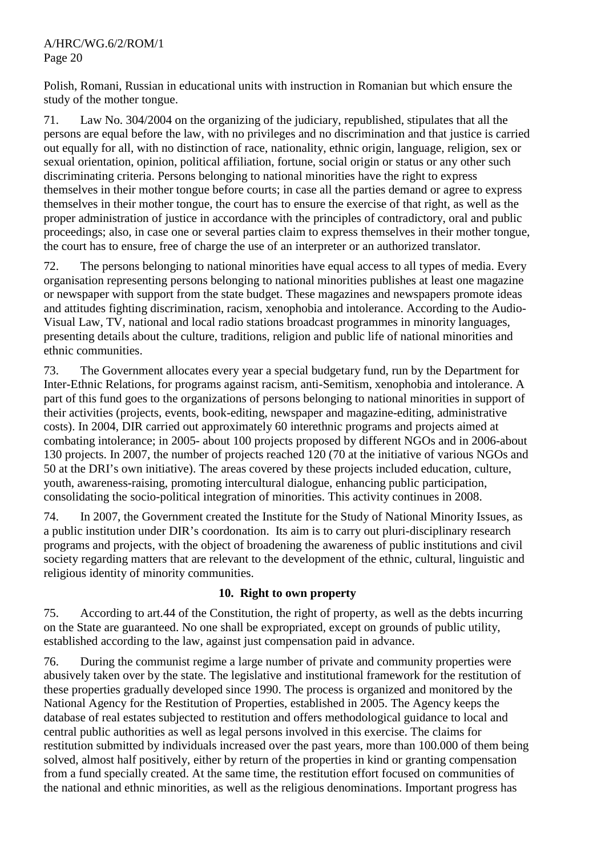Polish, Romani, Russian in educational units with instruction in Romanian but which ensure the study of the mother tongue.

71. Law No. 304/2004 on the organizing of the judiciary, republished, stipulates that all the persons are equal before the law, with no privileges and no discrimination and that justice is carried out equally for all, with no distinction of race, nationality, ethnic origin, language, religion, sex or sexual orientation, opinion, political affiliation, fortune, social origin or status or any other such discriminating criteria. Persons belonging to national minorities have the right to express themselves in their mother tongue before courts; in case all the parties demand or agree to express themselves in their mother tongue, the court has to ensure the exercise of that right, as well as the proper administration of justice in accordance with the principles of contradictory, oral and public proceedings; also, in case one or several parties claim to express themselves in their mother tongue, the court has to ensure, free of charge the use of an interpreter or an authorized translator.

72. The persons belonging to national minorities have equal access to all types of media. Every organisation representing persons belonging to national minorities publishes at least one magazine or newspaper with support from the state budget. These magazines and newspapers promote ideas and attitudes fighting discrimination, racism, xenophobia and intolerance. According to the Audio-Visual Law, TV, national and local radio stations broadcast programmes in minority languages, presenting details about the culture, traditions, religion and public life of national minorities and ethnic communities.

73. The Government allocates every year a special budgetary fund, run by the Department for Inter-Ethnic Relations, for programs against racism, anti-Semitism, xenophobia and intolerance. A part of this fund goes to the organizations of persons belonging to national minorities in support of their activities (projects, events, book-editing, newspaper and magazine-editing, administrative costs). In 2004, DIR carried out approximately 60 interethnic programs and projects aimed at combating intolerance; in 2005- about 100 projects proposed by different NGOs and in 2006-about 130 projects. In 2007, the number of projects reached 120 (70 at the initiative of various NGOs and 50 at the DRI's own initiative). The areas covered by these projects included education, culture, youth, awareness-raising, promoting intercultural dialogue, enhancing public participation, consolidating the socio-political integration of minorities. This activity continues in 2008.

74. In 2007, the Government created the Institute for the Study of National Minority Issues, as a public institution under DIR's coordonation. Its aim is to carry out pluri-disciplinary research programs and projects, with the object of broadening the awareness of public institutions and civil society regarding matters that are relevant to the development of the ethnic, cultural, linguistic and religious identity of minority communities.

# **10. Right to own property**

75. According to art.44 of the Constitution, the right of property, as well as the debts incurring on the State are guaranteed. No one shall be expropriated, except on grounds of public utility, established according to the law, against just compensation paid in advance.

76. During the communist regime a large number of private and community properties were abusively taken over by the state. The legislative and institutional framework for the restitution of these properties gradually developed since 1990. The process is organized and monitored by the National Agency for the Restitution of Properties, established in 2005. The Agency keeps the database of real estates subjected to restitution and offers methodological guidance to local and central public authorities as well as legal persons involved in this exercise. The claims for restitution submitted by individuals increased over the past years, more than 100.000 of them being solved, almost half positively, either by return of the properties in kind or granting compensation from a fund specially created. At the same time, the restitution effort focused on communities of the national and ethnic minorities, as well as the religious denominations. Important progress has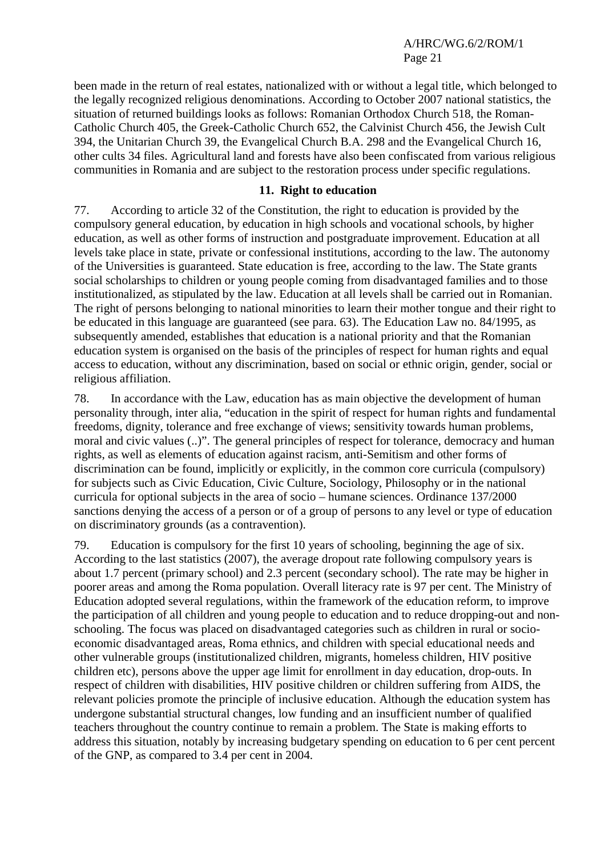been made in the return of real estates, nationalized with or without a legal title, which belonged to the legally recognized religious denominations. According to October 2007 national statistics, the situation of returned buildings looks as follows: Romanian Orthodox Church 518, the Roman-Catholic Church 405, the Greek-Catholic Church 652, the Calvinist Church 456, the Jewish Cult 394, the Unitarian Church 39, the Evangelical Church B.A. 298 and the Evangelical Church 16, other cults 34 files. Agricultural land and forests have also been confiscated from various religious communities in Romania and are subject to the restoration process under specific regulations.

#### **11. Right to education**

77. According to article 32 of the Constitution, the right to education is provided by the compulsory general education, by education in high schools and vocational schools, by higher education, as well as other forms of instruction and postgraduate improvement. Education at all levels take place in state, private or confessional institutions, according to the law. The autonomy of the Universities is guaranteed. State education is free, according to the law. The State grants social scholarships to children or young people coming from disadvantaged families and to those institutionalized, as stipulated by the law. Education at all levels shall be carried out in Romanian. The right of persons belonging to national minorities to learn their mother tongue and their right to be educated in this language are guaranteed (see para. 63). The Education Law no. 84/1995, as subsequently amended, establishes that education is a national priority and that the Romanian education system is organised on the basis of the principles of respect for human rights and equal access to education, without any discrimination, based on social or ethnic origin, gender, social or religious affiliation.

78. In accordance with the Law, education has as main objective the development of human personality through, inter alia, "education in the spirit of respect for human rights and fundamental freedoms, dignity, tolerance and free exchange of views; sensitivity towards human problems, moral and civic values (..)". The general principles of respect for tolerance, democracy and human rights, as well as elements of education against racism, anti-Semitism and other forms of discrimination can be found, implicitly or explicitly, in the common core curricula (compulsory) for subjects such as Civic Education, Civic Culture, Sociology, Philosophy or in the national curricula for optional subjects in the area of socio – humane sciences. Ordinance 137/2000 sanctions denying the access of a person or of a group of persons to any level or type of education on discriminatory grounds (as a contravention).

79. Education is compulsory for the first 10 years of schooling, beginning the age of six. According to the last statistics (2007), the average dropout rate following compulsory years is about 1.7 percent (primary school) and 2.3 percent (secondary school). The rate may be higher in poorer areas and among the Roma population. Overall literacy rate is 97 per cent. The Ministry of Education adopted several regulations, within the framework of the education reform, to improve the participation of all children and young people to education and to reduce dropping-out and nonschooling. The focus was placed on disadvantaged categories such as children in rural or socioeconomic disadvantaged areas, Roma ethnics, and children with special educational needs and other vulnerable groups (institutionalized children, migrants, homeless children, HIV positive children etc), persons above the upper age limit for enrollment in day education, drop-outs. In respect of children with disabilities, HIV positive children or children suffering from AIDS, the relevant policies promote the principle of inclusive education. Although the education system has undergone substantial structural changes, low funding and an insufficient number of qualified teachers throughout the country continue to remain a problem. The State is making efforts to address this situation, notably by increasing budgetary spending on education to 6 per cent percent of the GNP, as compared to 3.4 per cent in 2004.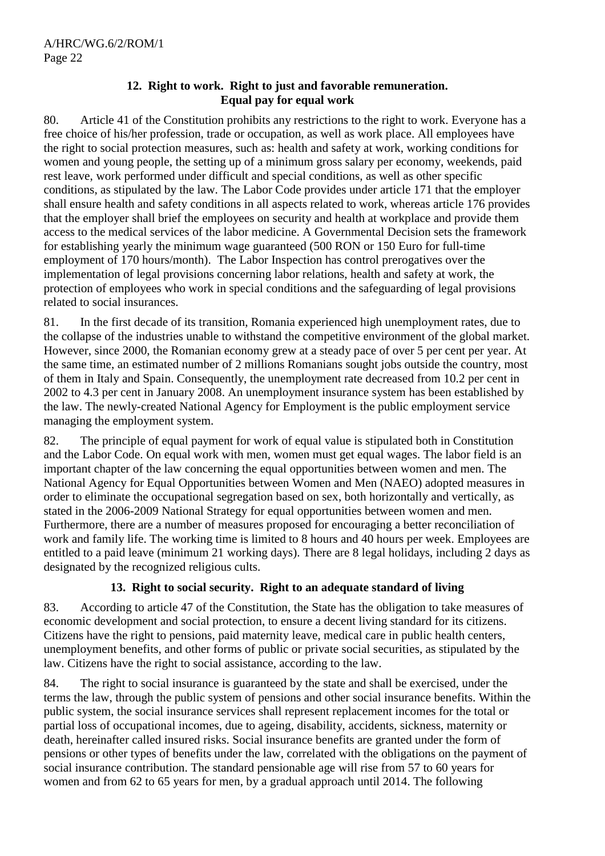# **12. Right to work. Right to just and favorable remuneration. Equal pay for equal work**

80. Article 41 of the Constitution prohibits any restrictions to the right to work. Everyone has a free choice of his/her profession, trade or occupation, as well as work place. All employees have the right to social protection measures, such as: health and safety at work, working conditions for women and young people, the setting up of a minimum gross salary per economy, weekends, paid rest leave, work performed under difficult and special conditions, as well as other specific conditions, as stipulated by the law. The Labor Code provides under article 171 that the employer shall ensure health and safety conditions in all aspects related to work, whereas article 176 provides that the employer shall brief the employees on security and health at workplace and provide them access to the medical services of the labor medicine. A Governmental Decision sets the framework for establishing yearly the minimum wage guaranteed (500 RON or 150 Euro for full-time employment of 170 hours/month). The Labor Inspection has control prerogatives over the implementation of legal provisions concerning labor relations, health and safety at work, the protection of employees who work in special conditions and the safeguarding of legal provisions related to social insurances.

81. In the first decade of its transition, Romania experienced high unemployment rates, due to the collapse of the industries unable to withstand the competitive environment of the global market. However, since 2000, the Romanian economy grew at a steady pace of over 5 per cent per year. At the same time, an estimated number of 2 millions Romanians sought jobs outside the country, most of them in Italy and Spain. Consequently, the unemployment rate decreased from 10.2 per cent in 2002 to 4.3 per cent in January 2008. An unemployment insurance system has been established by the law. The newly-created National Agency for Employment is the public employment service managing the employment system.

82. The principle of equal payment for work of equal value is stipulated both in Constitution and the Labor Code. On equal work with men, women must get equal wages. The labor field is an important chapter of the law concerning the equal opportunities between women and men. The National Agency for Equal Opportunities between Women and Men (NAEO) adopted measures in order to eliminate the occupational segregation based on sex, both horizontally and vertically, as stated in the 2006-2009 National Strategy for equal opportunities between women and men. Furthermore, there are a number of measures proposed for encouraging a better reconciliation of work and family life. The working time is limited to 8 hours and 40 hours per week. Employees are entitled to a paid leave (minimum 21 working days). There are 8 legal holidays, including 2 days as designated by the recognized religious cults.

# **13. Right to social security. Right to an adequate standard of living**

83. According to article 47 of the Constitution, the State has the obligation to take measures of economic development and social protection, to ensure a decent living standard for its citizens. Citizens have the right to pensions, paid maternity leave, medical care in public health centers, unemployment benefits, and other forms of public or private social securities, as stipulated by the law. Citizens have the right to social assistance, according to the law.

84. The right to social insurance is guaranteed by the state and shall be exercised, under the terms the law, through the public system of pensions and other social insurance benefits. Within the public system, the social insurance services shall represent replacement incomes for the total or partial loss of occupational incomes, due to ageing, disability, accidents, sickness, maternity or death, hereinafter called insured risks. Social insurance benefits are granted under the form of pensions or other types of benefits under the law, correlated with the obligations on the payment of social insurance contribution. The standard pensionable age will rise from 57 to 60 years for women and from 62 to 65 years for men, by a gradual approach until 2014. The following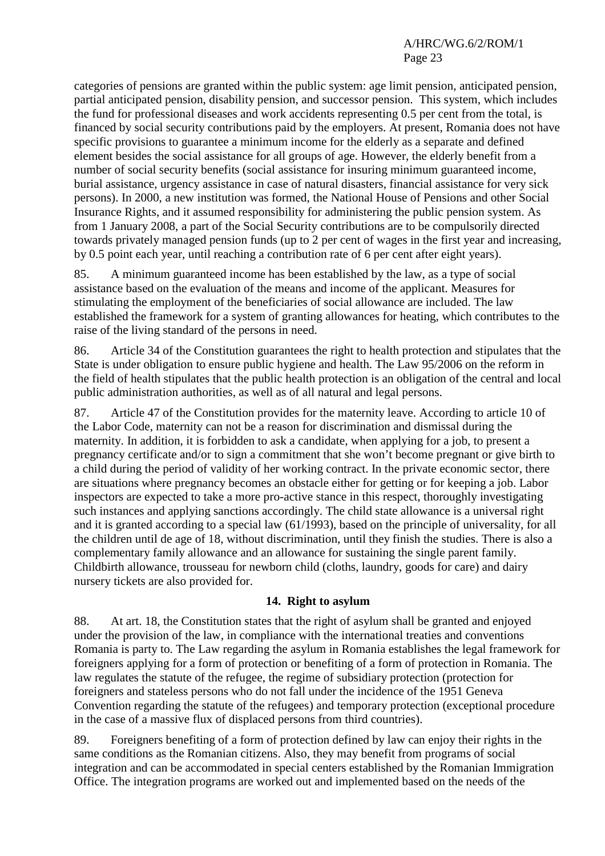categories of pensions are granted within the public system: age limit pension, anticipated pension, partial anticipated pension, disability pension, and successor pension. This system, which includes the fund for professional diseases and work accidents representing 0.5 per cent from the total, is financed by social security contributions paid by the employers. At present, Romania does not have specific provisions to guarantee a minimum income for the elderly as a separate and defined element besides the social assistance for all groups of age. However, the elderly benefit from a number of social security benefits (social assistance for insuring minimum guaranteed income, burial assistance, urgency assistance in case of natural disasters, financial assistance for very sick persons). In 2000, a new institution was formed, the National House of Pensions and other Social Insurance Rights, and it assumed responsibility for administering the public pension system. As from 1 January 2008, a part of the Social Security contributions are to be compulsorily directed towards privately managed pension funds (up to 2 per cent of wages in the first year and increasing, by 0.5 point each year, until reaching a contribution rate of 6 per cent after eight years).

85. A minimum guaranteed income has been established by the law, as a type of social assistance based on the evaluation of the means and income of the applicant. Measures for stimulating the employment of the beneficiaries of social allowance are included. The law established the framework for a system of granting allowances for heating, which contributes to the raise of the living standard of the persons in need.

86. Article 34 of the Constitution guarantees the right to health protection and stipulates that the State is under obligation to ensure public hygiene and health. The Law 95/2006 on the reform in the field of health stipulates that the public health protection is an obligation of the central and local public administration authorities, as well as of all natural and legal persons.

87. Article 47 of the Constitution provides for the maternity leave. According to article 10 of the Labor Code, maternity can not be a reason for discrimination and dismissal during the maternity. In addition, it is forbidden to ask a candidate, when applying for a job, to present a pregnancy certificate and/or to sign a commitment that she won't become pregnant or give birth to a child during the period of validity of her working contract. In the private economic sector, there are situations where pregnancy becomes an obstacle either for getting or for keeping a job. Labor inspectors are expected to take a more pro-active stance in this respect, thoroughly investigating such instances and applying sanctions accordingly. The child state allowance is a universal right and it is granted according to a special law (61/1993), based on the principle of universality, for all the children until de age of 18, without discrimination, until they finish the studies. There is also a complementary family allowance and an allowance for sustaining the single parent family. Childbirth allowance, trousseau for newborn child (cloths, laundry, goods for care) and dairy nursery tickets are also provided for.

# **14. Right to asylum**

88. At art. 18, the Constitution states that the right of asylum shall be granted and enjoyed under the provision of the law, in compliance with the international treaties and conventions Romania is party to. The Law regarding the asylum in Romania establishes the legal framework for foreigners applying for a form of protection or benefiting of a form of protection in Romania. The law regulates the statute of the refugee, the regime of subsidiary protection (protection for foreigners and stateless persons who do not fall under the incidence of the 1951 Geneva Convention regarding the statute of the refugees) and temporary protection (exceptional procedure in the case of a massive flux of displaced persons from third countries).

89. Foreigners benefiting of a form of protection defined by law can enjoy their rights in the same conditions as the Romanian citizens. Also, they may benefit from programs of social integration and can be accommodated in special centers established by the Romanian Immigration Office. The integration programs are worked out and implemented based on the needs of the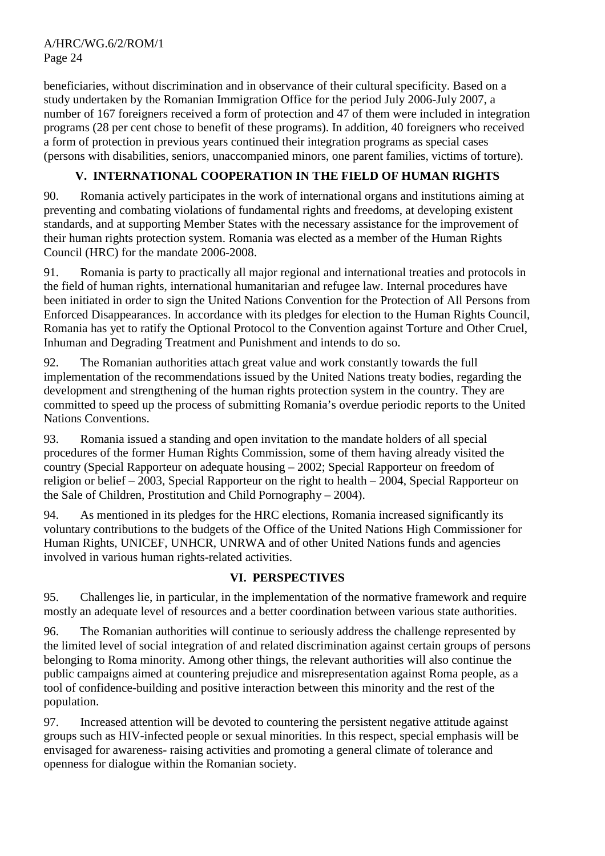beneficiaries, without discrimination and in observance of their cultural specificity. Based on a study undertaken by the Romanian Immigration Office for the period July 2006-July 2007, a number of 167 foreigners received a form of protection and 47 of them were included in integration programs (28 per cent chose to benefit of these programs). In addition, 40 foreigners who received a form of protection in previous years continued their integration programs as special cases (persons with disabilities, seniors, unaccompanied minors, one parent families, victims of torture).

# **V. INTERNATIONAL COOPERATION IN THE FIELD OF HUMAN RIGHTS**

90. Romania actively participates in the work of international organs and institutions aiming at preventing and combating violations of fundamental rights and freedoms, at developing existent standards, and at supporting Member States with the necessary assistance for the improvement of their human rights protection system. Romania was elected as a member of the Human Rights Council (HRC) for the mandate 2006-2008.

91. Romania is party to practically all major regional and international treaties and protocols in the field of human rights, international humanitarian and refugee law. Internal procedures have been initiated in order to sign the United Nations Convention for the Protection of All Persons from Enforced Disappearances. In accordance with its pledges for election to the Human Rights Council, Romania has yet to ratify the Optional Protocol to the Convention against Torture and Other Cruel, Inhuman and Degrading Treatment and Punishment and intends to do so.

92. The Romanian authorities attach great value and work constantly towards the full implementation of the recommendations issued by the United Nations treaty bodies, regarding the development and strengthening of the human rights protection system in the country. They are committed to speed up the process of submitting Romania's overdue periodic reports to the United Nations Conventions.

93. Romania issued a standing and open invitation to the mandate holders of all special procedures of the former Human Rights Commission, some of them having already visited the country (Special Rapporteur on adequate housing – 2002; Special Rapporteur on freedom of religion or belief – 2003, Special Rapporteur on the right to health – 2004, Special Rapporteur on the Sale of Children, Prostitution and Child Pornography – 2004).

94. As mentioned in its pledges for the HRC elections, Romania increased significantly its voluntary contributions to the budgets of the Office of the United Nations High Commissioner for Human Rights, UNICEF, UNHCR, UNRWA and of other United Nations funds and agencies involved in various human rights-related activities.

# **VI. PERSPECTIVES**

95. Challenges lie, in particular, in the implementation of the normative framework and require mostly an adequate level of resources and a better coordination between various state authorities.

96. The Romanian authorities will continue to seriously address the challenge represented by the limited level of social integration of and related discrimination against certain groups of persons belonging to Roma minority. Among other things, the relevant authorities will also continue the public campaigns aimed at countering prejudice and misrepresentation against Roma people, as a tool of confidence-building and positive interaction between this minority and the rest of the population.

97. Increased attention will be devoted to countering the persistent negative attitude against groups such as HIV-infected people or sexual minorities. In this respect, special emphasis will be envisaged for awareness- raising activities and promoting a general climate of tolerance and openness for dialogue within the Romanian society.